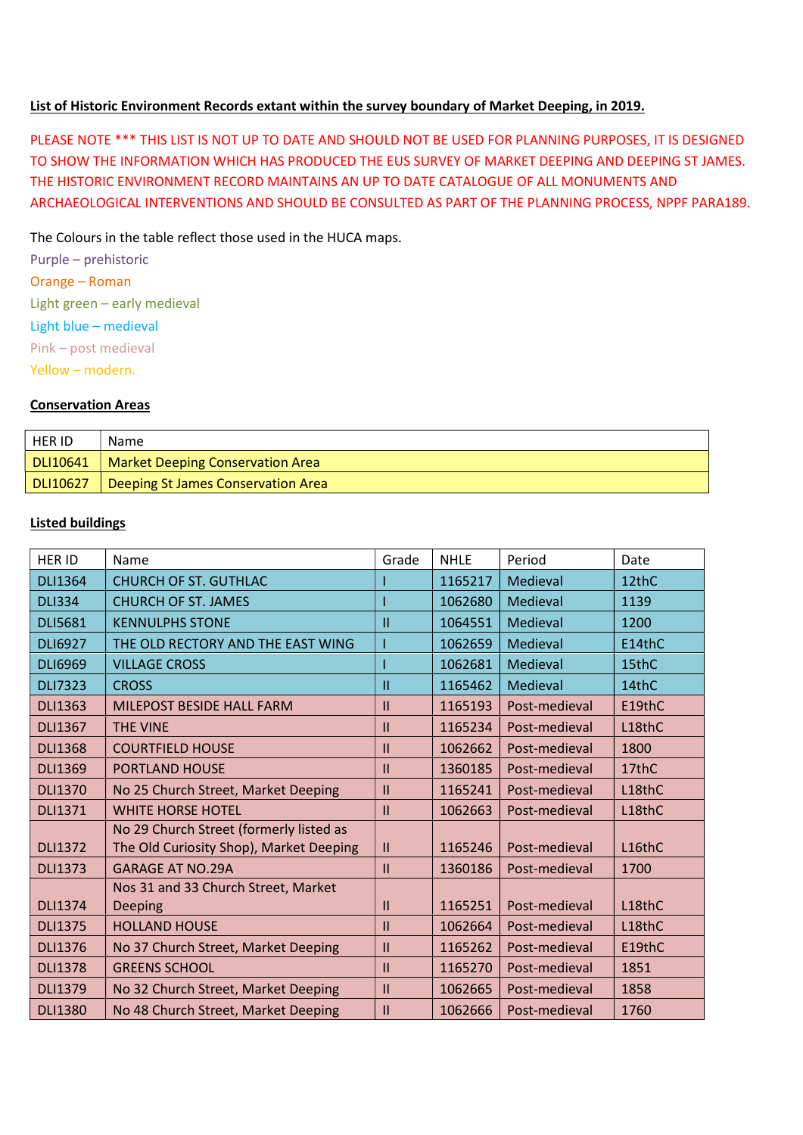### List of Historic Environment Records extant within the survey boundary of Market Deeping, in 2019.

PLEASE NOTE \*\*\* THIS LIST IS NOT UP TO DATE AND SHOULD NOT BE USED FOR PLANNING PURPOSES, IT IS DESIGNED TO SHOW THE INFORMATION WHICH HAS PRODUCED THE EUS SURVEY OF MARKET DEEPING AND DEEPING ST JAMES. THE HISTORIC ENVIRONMENT RECORD MAINTAINS AN UP TO DATE CATALOGUE OF ALL MONUMENTS AND ARCHAEOLOGICAL INTERVENTIONS AND SHOULD BE CONSULTED AS PART OF THE PLANNING PROCESS, NPPF PARA189.

The Colours in the table reflect those used in the HUCA maps.

Purple – prehistoric Orange – Roman Light green – early medieval Light blue – medieval Pink – post medieval Yellow – modern.

#### Conservation Areas

| <b>HER ID</b>   | Name                                    |
|-----------------|-----------------------------------------|
| DLI10641        | <b>Market Deeping Conservation Area</b> |
| <b>DLI10627</b> | Deeping St James Conservation Area      |

### Listed buildings

| <b>HER ID</b>  | Name                                    | Grade         | <b>NHLE</b> | Period        | Date   |
|----------------|-----------------------------------------|---------------|-------------|---------------|--------|
| <b>DLI1364</b> | <b>CHURCH OF ST. GUTHLAC</b>            |               | 1165217     | Medieval      | 12thC  |
| <b>DLI334</b>  | <b>CHURCH OF ST. JAMES</b>              |               | 1062680     | Medieval      | 1139   |
| <b>DLI5681</b> | <b>KENNULPHS STONE</b>                  | Ш             | 1064551     | Medieval      | 1200   |
| <b>DLI6927</b> | THE OLD RECTORY AND THE EAST WING       |               | 1062659     | Medieval      | E14thC |
| <b>DLI6969</b> | <b>VILLAGE CROSS</b>                    |               | 1062681     | Medieval      | 15thC  |
| <b>DLI7323</b> | <b>CROSS</b>                            | П             | 1165462     | Medieval      | 14thC  |
| <b>DLI1363</b> | MILEPOST BESIDE HALL FARM               | $\mathbf{H}$  | 1165193     | Post-medieval | E19thC |
| <b>DLI1367</b> | <b>THE VINE</b>                         | Ш             | 1165234     | Post-medieval | L18thC |
| <b>DLI1368</b> | <b>COURTFIELD HOUSE</b>                 | Ш             | 1062662     | Post-medieval | 1800   |
| <b>DLI1369</b> | <b>PORTLAND HOUSE</b>                   | $\mathbf{H}$  | 1360185     | Post-medieval | 17thC  |
| <b>DLI1370</b> | No 25 Church Street, Market Deeping     | $\mathbf{H}$  | 1165241     | Post-medieval | L18thC |
| <b>DLI1371</b> | <b>WHITE HORSE HOTEL</b>                | $\mathbf{H}$  | 1062663     | Post-medieval | L18thC |
|                | No 29 Church Street (formerly listed as |               |             |               |        |
| <b>DLI1372</b> | The Old Curiosity Shop), Market Deeping | $\mathbf{H}$  | 1165246     | Post-medieval | L16thC |
| <b>DLI1373</b> | <b>GARAGE AT NO.29A</b>                 | Ш             | 1360186     | Post-medieval | 1700   |
|                | Nos 31 and 33 Church Street, Market     |               |             |               |        |
| <b>DLI1374</b> | <b>Deeping</b>                          | Ш             | 1165251     | Post-medieval | L18thC |
| <b>DLI1375</b> | <b>HOLLAND HOUSE</b>                    | $\mathbf{I}$  | 1062664     | Post-medieval | L18thC |
| <b>DLI1376</b> | No 37 Church Street, Market Deeping     | $\mathbf{H}$  | 1165262     | Post-medieval | E19thC |
| <b>DLI1378</b> | <b>GREENS SCHOOL</b>                    | Ш             | 1165270     | Post-medieval | 1851   |
| <b>DLI1379</b> | No 32 Church Street, Market Deeping     | $\mathbf{II}$ | 1062665     | Post-medieval | 1858   |
| <b>DLI1380</b> | No 48 Church Street, Market Deeping     | $\mathbf{H}$  | 1062666     | Post-medieval | 1760   |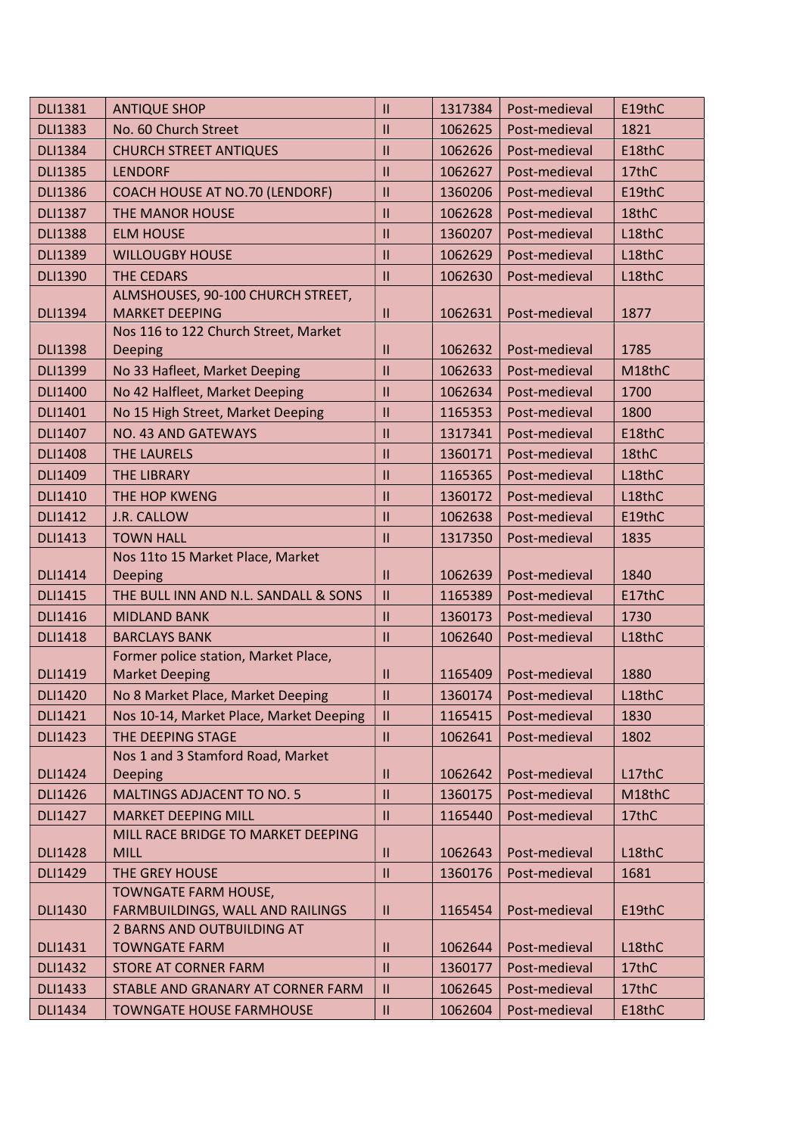| <b>DLI1381</b> | <b>ANTIQUE SHOP</b>                                           | $\mathbf{II}$              | 1317384 | Post-medieval | E19thC |
|----------------|---------------------------------------------------------------|----------------------------|---------|---------------|--------|
| <b>DLI1383</b> | No. 60 Church Street                                          | $\mathbf{I}$               | 1062625 | Post-medieval | 1821   |
| <b>DLI1384</b> | <b>CHURCH STREET ANTIQUES</b>                                 | $\mathbf{II}$              | 1062626 | Post-medieval | E18thC |
| <b>DLI1385</b> | <b>LENDORF</b>                                                | $\mathbf{II}$              | 1062627 | Post-medieval | 17thC  |
| <b>DLI1386</b> | COACH HOUSE AT NO.70 (LENDORF)                                | $\mathbf{I}$               | 1360206 | Post-medieval | E19thC |
| <b>DLI1387</b> | <b>THE MANOR HOUSE</b>                                        | $\mathbf{II}$              | 1062628 | Post-medieval | 18thC  |
| <b>DLI1388</b> | <b>ELM HOUSE</b>                                              | $\mathbf{II}$              | 1360207 | Post-medieval | L18thC |
| <b>DLI1389</b> | <b>WILLOUGBY HOUSE</b>                                        | $\mathbf{II}$              | 1062629 | Post-medieval | L18thC |
| <b>DLI1390</b> | <b>THE CEDARS</b>                                             | $\mathbf{I}$               | 1062630 | Post-medieval | L18thC |
|                | ALMSHOUSES, 90-100 CHURCH STREET,                             |                            |         |               |        |
| <b>DLI1394</b> | <b>MARKET DEEPING</b>                                         | $\mathbf{II}$              | 1062631 | Post-medieval | 1877   |
|                | Nos 116 to 122 Church Street, Market                          |                            |         |               |        |
| <b>DLI1398</b> | Deeping                                                       | Ш                          | 1062632 | Post-medieval | 1785   |
| <b>DLI1399</b> | No 33 Hafleet, Market Deeping                                 | $\mathbf{II}$              | 1062633 | Post-medieval | M18thC |
| <b>DLI1400</b> | No 42 Halfleet, Market Deeping                                | $\mathbf{II}$              | 1062634 | Post-medieval | 1700   |
| <b>DLI1401</b> | No 15 High Street, Market Deeping                             | $\mathbf{II}$              | 1165353 | Post-medieval | 1800   |
| <b>DLI1407</b> | <b>NO. 43 AND GATEWAYS</b>                                    | $\mathbf{II}$              | 1317341 | Post-medieval | E18thC |
| <b>DLI1408</b> | <b>THE LAURELS</b>                                            | $\mathbf{II}$              | 1360171 | Post-medieval | 18thC  |
| <b>DLI1409</b> | <b>THE LIBRARY</b>                                            | $\mathbf{I}$               | 1165365 | Post-medieval | L18thC |
| <b>DLI1410</b> | THE HOP KWENG                                                 | $\mathbf{II}$              | 1360172 | Post-medieval | L18thC |
| <b>DLI1412</b> | J.R. CALLOW                                                   | $\mathbf{II}$              | 1062638 | Post-medieval | E19thC |
| <b>DLI1413</b> | <b>TOWN HALL</b>                                              | $\mathbf{II}$              | 1317350 | Post-medieval | 1835   |
|                | Nos 11to 15 Market Place, Market                              |                            |         |               |        |
| <b>DLI1414</b> | Deeping                                                       | $\mathbf{I}$               | 1062639 | Post-medieval | 1840   |
| <b>DLI1415</b> | THE BULL INN AND N.L. SANDALL & SONS                          | $\mathbf{II}$              | 1165389 | Post-medieval | E17thC |
| <b>DLI1416</b> | <b>MIDLAND BANK</b>                                           | $\mathbf{II}$              | 1360173 | Post-medieval | 1730   |
| <b>DLI1418</b> | <b>BARCLAYS BANK</b>                                          | $\mathbf{  }$              | 1062640 | Post-medieval | L18thC |
| <b>DLI1419</b> | Former police station, Market Place,<br><b>Market Deeping</b> | $\mathbf{II}$              | 1165409 | Post-medieval | 1880   |
| <b>DLI1420</b> | No 8 Market Place, Market Deeping                             | $\mathbf{I}$               | 1360174 | Post-medieval | L18thC |
| <b>DLI1421</b> | Nos 10-14, Market Place, Market Deeping                       | $\ensuremath{\mathsf{II}}$ | 1165415 | Post-medieval | 1830   |
| <b>DLI1423</b> | THE DEEPING STAGE                                             | $\mathbf{II}$              | 1062641 | Post-medieval | 1802   |
|                | Nos 1 and 3 Stamford Road, Market                             |                            |         |               |        |
| <b>DLI1424</b> | <b>Deeping</b>                                                | $\mathbf{II}$              | 1062642 | Post-medieval | L17thC |
| <b>DLI1426</b> | <b>MALTINGS ADJACENT TO NO. 5</b>                             | $\mathbf{II}$              | 1360175 | Post-medieval | M18thC |
| <b>DLI1427</b> | <b>MARKET DEEPING MILL</b>                                    | $\mathbf{I}$               | 1165440 | Post-medieval | 17thC  |
|                | MILL RACE BRIDGE TO MARKET DEEPING                            |                            |         |               |        |
| <b>DLI1428</b> | <b>MILL</b>                                                   | $\mathbf{I}$               | 1062643 | Post-medieval | L18thC |
| <b>DLI1429</b> | THE GREY HOUSE                                                | $\ensuremath{\mathsf{II}}$ | 1360176 | Post-medieval | 1681   |
|                | TOWNGATE FARM HOUSE,                                          |                            |         |               |        |
| <b>DLI1430</b> | FARMBUILDINGS, WALL AND RAILINGS                              | $\mathbf{II}$              | 1165454 | Post-medieval | E19thC |
|                | 2 BARNS AND OUTBUILDING AT                                    |                            |         |               |        |
| <b>DLI1431</b> | <b>TOWNGATE FARM</b>                                          | $\mathbf{I}$               | 1062644 | Post-medieval | L18thC |
| <b>DLI1432</b> | <b>STORE AT CORNER FARM</b>                                   | $\mathbf{II}$              | 1360177 | Post-medieval | 17thC  |
| <b>DLI1433</b> | STABLE AND GRANARY AT CORNER FARM                             | Ш                          | 1062645 | Post-medieval | 17thC  |
| <b>DLI1434</b> | <b>TOWNGATE HOUSE FARMHOUSE</b>                               | $\ensuremath{\mathsf{II}}$ | 1062604 | Post-medieval | E18thC |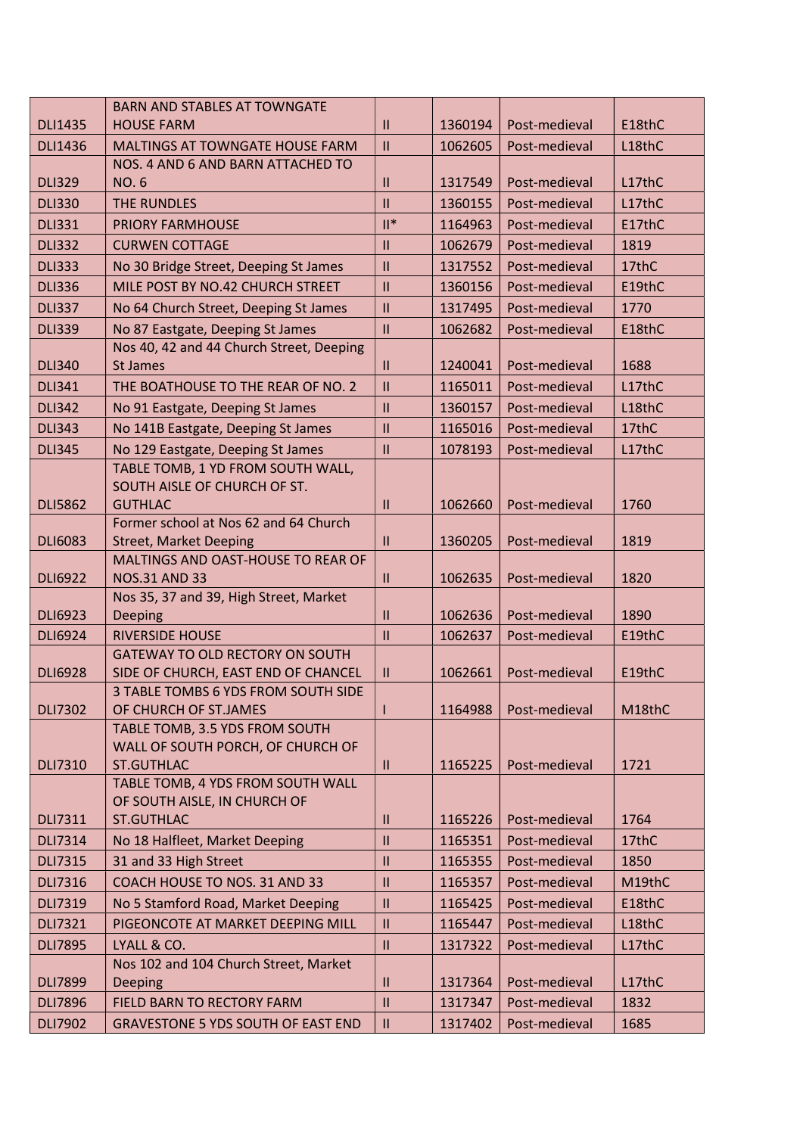|                | <b>BARN AND STABLES AT TOWNGATE</b>                                 |                            |         |               |        |
|----------------|---------------------------------------------------------------------|----------------------------|---------|---------------|--------|
| <b>DLI1435</b> | <b>HOUSE FARM</b>                                                   | $\mathbf{II}$              | 1360194 | Post-medieval | E18thC |
| <b>DLI1436</b> | <b>MALTINGS AT TOWNGATE HOUSE FARM</b>                              | $\mathbf{II}$              | 1062605 | Post-medieval | L18thC |
|                | NOS. 4 AND 6 AND BARN ATTACHED TO                                   |                            |         |               |        |
| <b>DLI329</b>  | <b>NO.6</b>                                                         | $\mathbf{II}$              | 1317549 | Post-medieval | L17thC |
| <b>DLI330</b>  | <b>THE RUNDLES</b>                                                  | $\mathbf{II}$              | 1360155 | Post-medieval | L17thC |
| <b>DLI331</b>  | <b>PRIORY FARMHOUSE</b>                                             | $\mathbb{I}^*$             | 1164963 | Post-medieval | E17thC |
| <b>DLI332</b>  | <b>CURWEN COTTAGE</b>                                               | $\mathbf{II}$              | 1062679 | Post-medieval | 1819   |
| <b>DLI333</b>  | No 30 Bridge Street, Deeping St James                               | $\mathbf{I}$               | 1317552 | Post-medieval | 17thC  |
| <b>DLI336</b>  | MILE POST BY NO.42 CHURCH STREET                                    | $\mathbf{II}$              | 1360156 | Post-medieval | E19thC |
| <b>DLI337</b>  | No 64 Church Street, Deeping St James                               | $\mathbf{II}$              | 1317495 | Post-medieval | 1770   |
| <b>DLI339</b>  | No 87 Eastgate, Deeping St James                                    | $\mathbf{II}$              | 1062682 | Post-medieval | E18thC |
|                | Nos 40, 42 and 44 Church Street, Deeping                            |                            |         |               |        |
| <b>DLI340</b>  | <b>St James</b>                                                     | Ш                          | 1240041 | Post-medieval | 1688   |
| <b>DLI341</b>  | THE BOATHOUSE TO THE REAR OF NO. 2                                  | $\mathbf{II}$              | 1165011 | Post-medieval | L17thC |
| <b>DLI342</b>  | No 91 Eastgate, Deeping St James                                    | $\mathbf{II}$              | 1360157 | Post-medieval | L18thC |
| <b>DLI343</b>  | No 141B Eastgate, Deeping St James                                  | $\mathbf{  }$              | 1165016 | Post-medieval | 17thC  |
| <b>DLI345</b>  | No 129 Eastgate, Deeping St James                                   | $\mathbf{II}$              | 1078193 | Post-medieval | L17thC |
|                | TABLE TOMB, 1 YD FROM SOUTH WALL,                                   |                            |         |               |        |
|                | SOUTH AISLE OF CHURCH OF ST.                                        |                            |         |               |        |
| <b>DLI5862</b> | <b>GUTHLAC</b>                                                      | $\mathbf{I}$               | 1062660 | Post-medieval | 1760   |
|                | Former school at Nos 62 and 64 Church                               |                            |         |               |        |
| <b>DLI6083</b> | <b>Street, Market Deeping</b><br>MALTINGS AND OAST-HOUSE TO REAR OF | $\mathbf{H}$               | 1360205 | Post-medieval | 1819   |
| <b>DLI6922</b> | <b>NOS.31 AND 33</b>                                                | $\mathbf{II}$              | 1062635 | Post-medieval | 1820   |
|                | Nos 35, 37 and 39, High Street, Market                              |                            |         |               |        |
| <b>DLI6923</b> | Deeping                                                             | $\mathbf{II}$              | 1062636 | Post-medieval | 1890   |
| <b>DLI6924</b> | <b>RIVERSIDE HOUSE</b>                                              | $\mathbf{II}$              | 1062637 | Post-medieval | E19thC |
|                | GATEWAY TO OLD RECTORY ON SOUTH                                     |                            |         |               |        |
| <b>DLI6928</b> | SIDE OF CHURCH, EAST END OF CHANCEL                                 | $\mathbf{H}$               | 1062661 | Post-medieval | E19thC |
|                | 3 TABLE TOMBS 6 YDS FROM SOUTH SIDE                                 |                            |         |               |        |
| <b>DLI7302</b> | OF CHURCH OF ST.JAMES                                               |                            | 1164988 | Post-medieval | M18thC |
|                | TABLE TOMB, 3.5 YDS FROM SOUTH                                      |                            |         |               |        |
| <b>DLI7310</b> | WALL OF SOUTH PORCH, OF CHURCH OF<br><b>ST.GUTHLAC</b>              | $\mathbf{II}$              | 1165225 | Post-medieval | 1721   |
|                | TABLE TOMB, 4 YDS FROM SOUTH WALL                                   |                            |         |               |        |
|                | OF SOUTH AISLE, IN CHURCH OF                                        |                            |         |               |        |
| <b>DLI7311</b> | <b>ST.GUTHLAC</b>                                                   | Ш                          | 1165226 | Post-medieval | 1764   |
| <b>DLI7314</b> | No 18 Halfleet, Market Deeping                                      | $\mathbf{  }$              | 1165351 | Post-medieval | 17thC  |
| <b>DLI7315</b> | 31 and 33 High Street                                               | $\mathbf{II}$              | 1165355 | Post-medieval | 1850   |
| <b>DLI7316</b> | COACH HOUSE TO NOS. 31 AND 33                                       | $\mathbf{II}$              | 1165357 | Post-medieval | M19thC |
| <b>DLI7319</b> | No 5 Stamford Road, Market Deeping                                  | $\mathbf{II}$              | 1165425 | Post-medieval | E18thC |
| <b>DLI7321</b> | PIGEONCOTE AT MARKET DEEPING MILL                                   | $\mathbf{II}$              | 1165447 | Post-medieval | L18thC |
| <b>DLI7895</b> | LYALL & CO.                                                         | $\mathbf{I}$               | 1317322 | Post-medieval | L17thC |
|                | Nos 102 and 104 Church Street, Market                               |                            |         |               |        |
| <b>DLI7899</b> | Deeping                                                             | $\mathbf{II}$              | 1317364 | Post-medieval | L17thC |
| <b>DLI7896</b> | FIELD BARN TO RECTORY FARM                                          | $\mathbf{II}$              | 1317347 | Post-medieval | 1832   |
| <b>DLI7902</b> | <b>GRAVESTONE 5 YDS SOUTH OF EAST END</b>                           | $\ensuremath{\mathsf{II}}$ | 1317402 | Post-medieval | 1685   |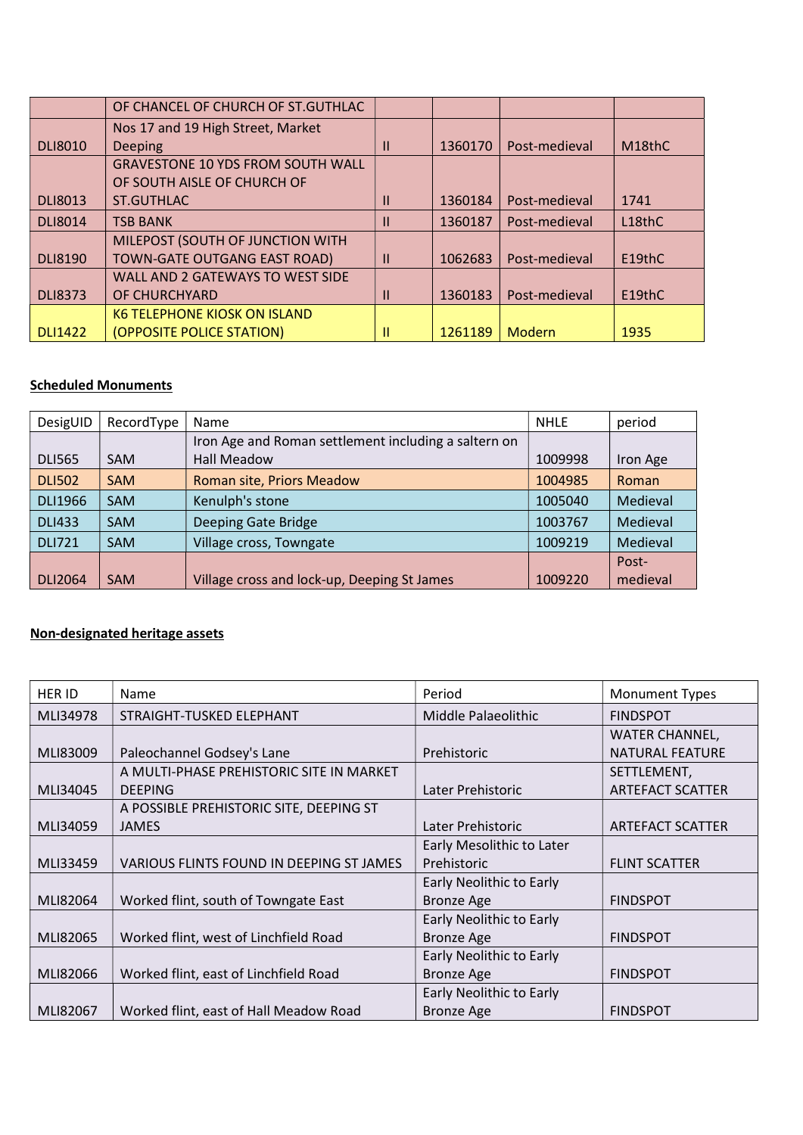|                | OF CHANCEL OF CHURCH OF ST.GUTHLAC       |              |         |               |                     |
|----------------|------------------------------------------|--------------|---------|---------------|---------------------|
|                | Nos 17 and 19 High Street, Market        |              |         |               |                     |
| <b>DLI8010</b> | Deeping                                  | Ш            | 1360170 | Post-medieval | M <sub>18</sub> thC |
|                | <b>GRAVESTONE 10 YDS FROM SOUTH WALL</b> |              |         |               |                     |
|                | OF SOUTH AISLE OF CHURCH OF              |              |         |               |                     |
| <b>DLI8013</b> | ST.GUTHLAC                               | $\mathbf{I}$ | 1360184 | Post-medieval | 1741                |
| <b>DLI8014</b> | <b>TSB BANK</b>                          | $\mathbf{I}$ | 1360187 | Post-medieval | L18thC              |
|                | MILEPOST (SOUTH OF JUNCTION WITH         |              |         |               |                     |
| <b>DLI8190</b> | TOWN-GATE OUTGANG EAST ROAD)             | $\mathbf{I}$ | 1062683 | Post-medieval | E19thC              |
|                | WALL AND 2 GATEWAYS TO WEST SIDE         |              |         |               |                     |
| <b>DLI8373</b> | OF CHURCHYARD                            | $\mathbf{H}$ | 1360183 | Post-medieval | E19thC              |
|                | K6 TELEPHONE KIOSK ON ISLAND             |              |         |               |                     |
| <b>DLI1422</b> | (OPPOSITE POLICE STATION)                | H.           | 1261189 | Modern        | 1935                |

# Scheduled Monuments

| DesigUID       | RecordType | <b>Name</b>                                          | <b>NHLE</b> | period   |
|----------------|------------|------------------------------------------------------|-------------|----------|
|                |            | Iron Age and Roman settlement including a saltern on |             |          |
| <b>DLI565</b>  | <b>SAM</b> | <b>Hall Meadow</b>                                   | 1009998     | Iron Age |
| <b>DLI502</b>  | <b>SAM</b> | Roman site, Priors Meadow                            | 1004985     | Roman    |
| <b>DLI1966</b> | <b>SAM</b> | Kenulph's stone                                      | 1005040     | Medieval |
| <b>DLI433</b>  | <b>SAM</b> | Deeping Gate Bridge                                  | 1003767     | Medieval |
| <b>DLI721</b>  | <b>SAM</b> | Village cross, Towngate                              | 1009219     | Medieval |
|                |            |                                                      |             | Post-    |
| <b>DLI2064</b> | <b>SAM</b> | Village cross and lock-up, Deeping St James          | 1009220     | medieval |

# Non-designated heritage assets

| <b>HER ID</b> | Name                                     | Period                    | <b>Monument Types</b>   |
|---------------|------------------------------------------|---------------------------|-------------------------|
| MLI34978      | STRAIGHT-TUSKED ELEPHANT                 | Middle Palaeolithic       | <b>FINDSPOT</b>         |
|               |                                          |                           | <b>WATER CHANNEL,</b>   |
| MLI83009      | Paleochannel Godsey's Lane               | Prehistoric               | <b>NATURAL FEATURE</b>  |
|               | A MULTI-PHASE PREHISTORIC SITE IN MARKET |                           | SETTLEMENT,             |
| MLI34045      | <b>DEEPING</b>                           | Later Prehistoric         | <b>ARTEFACT SCATTER</b> |
|               | A POSSIBLE PREHISTORIC SITE, DEEPING ST  |                           |                         |
| MLI34059      | <b>JAMES</b>                             | Later Prehistoric         | <b>ARTEFACT SCATTER</b> |
|               |                                          | Early Mesolithic to Later |                         |
| MLI33459      | VARIOUS FLINTS FOUND IN DEEPING ST JAMES | Prehistoric               | <b>FLINT SCATTER</b>    |
|               |                                          | Early Neolithic to Early  |                         |
| MLI82064      | Worked flint, south of Towngate East     | <b>Bronze Age</b>         | <b>FINDSPOT</b>         |
|               |                                          | Early Neolithic to Early  |                         |
| MLI82065      | Worked flint, west of Linchfield Road    | <b>Bronze Age</b>         | <b>FINDSPOT</b>         |
|               |                                          | Early Neolithic to Early  |                         |
| MLI82066      | Worked flint, east of Linchfield Road    | <b>Bronze Age</b>         | <b>FINDSPOT</b>         |
|               |                                          | Early Neolithic to Early  |                         |
| MLI82067      | Worked flint, east of Hall Meadow Road   | <b>Bronze Age</b>         | <b>FINDSPOT</b>         |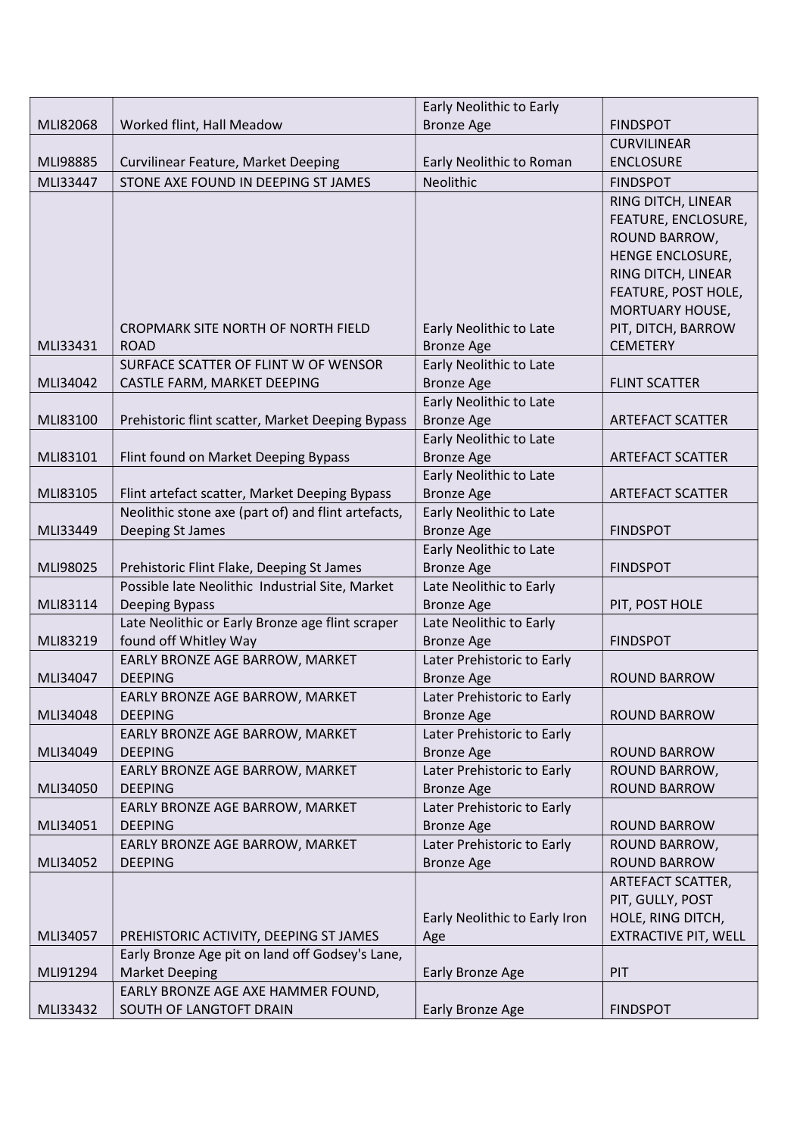|          |                                                                                              | Early Neolithic to Early                     |                             |
|----------|----------------------------------------------------------------------------------------------|----------------------------------------------|-----------------------------|
| MLI82068 | Worked flint, Hall Meadow                                                                    | <b>Bronze Age</b>                            | <b>FINDSPOT</b>             |
|          |                                                                                              |                                              | <b>CURVILINEAR</b>          |
| MLI98885 | Curvilinear Feature, Market Deeping                                                          | Early Neolithic to Roman                     | <b>ENCLOSURE</b>            |
| MLI33447 | STONE AXE FOUND IN DEEPING ST JAMES                                                          | Neolithic                                    | <b>FINDSPOT</b>             |
|          |                                                                                              |                                              | RING DITCH, LINEAR          |
|          |                                                                                              |                                              | FEATURE, ENCLOSURE,         |
|          |                                                                                              |                                              | ROUND BARROW,               |
|          |                                                                                              |                                              | HENGE ENCLOSURE,            |
|          |                                                                                              |                                              | RING DITCH, LINEAR          |
|          |                                                                                              |                                              | FEATURE, POST HOLE,         |
|          |                                                                                              |                                              | MORTUARY HOUSE,             |
|          | CROPMARK SITE NORTH OF NORTH FIELD                                                           | Early Neolithic to Late                      | PIT, DITCH, BARROW          |
| MLI33431 | <b>ROAD</b>                                                                                  | <b>Bronze Age</b>                            | <b>CEMETERY</b>             |
|          | SURFACE SCATTER OF FLINT W OF WENSOR                                                         | Early Neolithic to Late                      |                             |
| MLI34042 | CASTLE FARM, MARKET DEEPING                                                                  | <b>Bronze Age</b>                            | <b>FLINT SCATTER</b>        |
|          |                                                                                              | Early Neolithic to Late                      |                             |
| MLI83100 | Prehistoric flint scatter, Market Deeping Bypass                                             | <b>Bronze Age</b>                            | <b>ARTEFACT SCATTER</b>     |
|          |                                                                                              | Early Neolithic to Late                      |                             |
| MLI83101 | Flint found on Market Deeping Bypass                                                         | <b>Bronze Age</b>                            | <b>ARTEFACT SCATTER</b>     |
|          |                                                                                              | Early Neolithic to Late                      |                             |
| MLI83105 | Flint artefact scatter, Market Deeping Bypass                                                | <b>Bronze Age</b>                            | <b>ARTEFACT SCATTER</b>     |
|          | Neolithic stone axe (part of) and flint artefacts,                                           | Early Neolithic to Late                      |                             |
| MLI33449 | Deeping St James                                                                             | <b>Bronze Age</b>                            | <b>FINDSPOT</b>             |
| MLI98025 |                                                                                              | Early Neolithic to Late<br><b>Bronze Age</b> | <b>FINDSPOT</b>             |
|          | Prehistoric Flint Flake, Deeping St James<br>Possible late Neolithic Industrial Site, Market | Late Neolithic to Early                      |                             |
| MLI83114 | Deeping Bypass                                                                               | <b>Bronze Age</b>                            | PIT, POST HOLE              |
|          | Late Neolithic or Early Bronze age flint scraper                                             | Late Neolithic to Early                      |                             |
| MLI83219 | found off Whitley Way                                                                        | <b>Bronze Age</b>                            | <b>FINDSPOT</b>             |
|          | EARLY BRONZE AGE BARROW, MARKET                                                              | Later Prehistoric to Early                   |                             |
| MLI34047 | <b>DEEPING</b>                                                                               | <b>Bronze Age</b>                            | <b>ROUND BARROW</b>         |
|          | EARLY BRONZE AGE BARROW, MARKET                                                              | Later Prehistoric to Early                   |                             |
| MLI34048 | <b>DEEPING</b>                                                                               | <b>Bronze Age</b>                            | <b>ROUND BARROW</b>         |
|          | EARLY BRONZE AGE BARROW, MARKET                                                              | Later Prehistoric to Early                   |                             |
| MLI34049 | <b>DEEPING</b>                                                                               | <b>Bronze Age</b>                            | <b>ROUND BARROW</b>         |
|          | EARLY BRONZE AGE BARROW, MARKET                                                              | Later Prehistoric to Early                   | ROUND BARROW,               |
| MLI34050 | <b>DEEPING</b>                                                                               | <b>Bronze Age</b>                            | <b>ROUND BARROW</b>         |
|          | EARLY BRONZE AGE BARROW, MARKET                                                              | Later Prehistoric to Early                   |                             |
| MLI34051 | <b>DEEPING</b>                                                                               | <b>Bronze Age</b>                            | <b>ROUND BARROW</b>         |
|          | EARLY BRONZE AGE BARROW, MARKET                                                              | Later Prehistoric to Early                   | ROUND BARROW,               |
| MLI34052 | <b>DEEPING</b>                                                                               | <b>Bronze Age</b>                            | <b>ROUND BARROW</b>         |
|          |                                                                                              |                                              | ARTEFACT SCATTER,           |
|          |                                                                                              |                                              | PIT, GULLY, POST            |
|          |                                                                                              | Early Neolithic to Early Iron                | HOLE, RING DITCH,           |
| MLI34057 | PREHISTORIC ACTIVITY, DEEPING ST JAMES                                                       | Age                                          | <b>EXTRACTIVE PIT, WELL</b> |
|          | Early Bronze Age pit on land off Godsey's Lane,                                              |                                              |                             |
| MLI91294 | <b>Market Deeping</b>                                                                        | Early Bronze Age                             | PIT                         |
|          | EARLY BRONZE AGE AXE HAMMER FOUND,                                                           |                                              |                             |
| MLI33432 | SOUTH OF LANGTOFT DRAIN                                                                      | Early Bronze Age                             | <b>FINDSPOT</b>             |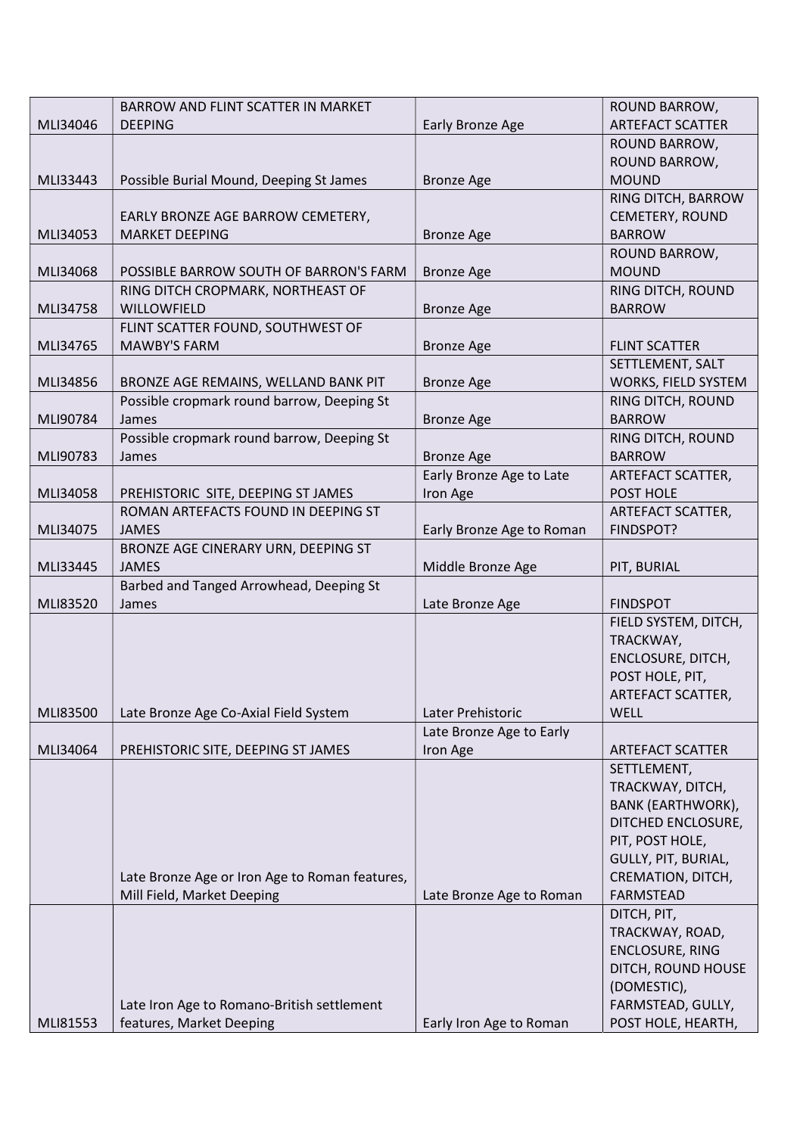|          | BARROW AND FLINT SCATTER IN MARKET             |                           | ROUND BARROW,            |
|----------|------------------------------------------------|---------------------------|--------------------------|
| MLI34046 | <b>DEEPING</b>                                 | Early Bronze Age          | <b>ARTEFACT SCATTER</b>  |
|          |                                                |                           | ROUND BARROW,            |
|          |                                                |                           | ROUND BARROW,            |
| MLI33443 | Possible Burial Mound, Deeping St James        | <b>Bronze Age</b>         | <b>MOUND</b>             |
|          |                                                |                           | RING DITCH, BARROW       |
|          | EARLY BRONZE AGE BARROW CEMETERY,              |                           | CEMETERY, ROUND          |
| MLI34053 | <b>MARKET DEEPING</b>                          | <b>Bronze Age</b>         | <b>BARROW</b>            |
|          |                                                |                           | ROUND BARROW,            |
| MLI34068 | POSSIBLE BARROW SOUTH OF BARRON'S FARM         | <b>Bronze Age</b>         | <b>MOUND</b>             |
|          | RING DITCH CROPMARK, NORTHEAST OF              |                           | RING DITCH, ROUND        |
| MLI34758 | WILLOWFIELD                                    | <b>Bronze Age</b>         | <b>BARROW</b>            |
|          | FLINT SCATTER FOUND, SOUTHWEST OF              |                           |                          |
| MLI34765 | <b>MAWBY'S FARM</b>                            | <b>Bronze Age</b>         | <b>FLINT SCATTER</b>     |
|          |                                                |                           | SETTLEMENT, SALT         |
| MLI34856 | BRONZE AGE REMAINS, WELLAND BANK PIT           | <b>Bronze Age</b>         | WORKS, FIELD SYSTEM      |
|          | Possible cropmark round barrow, Deeping St     |                           | RING DITCH, ROUND        |
| MLI90784 | James                                          | <b>Bronze Age</b>         | <b>BARROW</b>            |
|          | Possible cropmark round barrow, Deeping St     |                           | RING DITCH, ROUND        |
| MLI90783 | James                                          | <b>Bronze Age</b>         | <b>BARROW</b>            |
|          |                                                | Early Bronze Age to Late  | ARTEFACT SCATTER,        |
| MLI34058 | PREHISTORIC SITE, DEEPING ST JAMES             | Iron Age                  | POST HOLE                |
|          | ROMAN ARTEFACTS FOUND IN DEEPING ST            |                           | ARTEFACT SCATTER,        |
| MLI34075 | <b>JAMES</b>                                   | Early Bronze Age to Roman | FINDSPOT?                |
|          | BRONZE AGE CINERARY URN, DEEPING ST            |                           |                          |
| MLI33445 | <b>JAMES</b>                                   | Middle Bronze Age         | PIT, BURIAL              |
|          | Barbed and Tanged Arrowhead, Deeping St        |                           |                          |
| MLI83520 | James                                          | Late Bronze Age           | <b>FINDSPOT</b>          |
|          |                                                |                           | FIELD SYSTEM, DITCH,     |
|          |                                                |                           | TRACKWAY,                |
|          |                                                |                           | ENCLOSURE, DITCH,        |
|          |                                                |                           | POST HOLE, PIT,          |
|          |                                                |                           | ARTEFACT SCATTER,        |
| MLI83500 | Late Bronze Age Co-Axial Field System          | Later Prehistoric         | WELL                     |
|          |                                                | Late Bronze Age to Early  |                          |
| MLI34064 | PREHISTORIC SITE, DEEPING ST JAMES             | Iron Age                  | <b>ARTEFACT SCATTER</b>  |
|          |                                                |                           | SETTLEMENT,              |
|          |                                                |                           | TRACKWAY, DITCH,         |
|          |                                                |                           | <b>BANK (EARTHWORK),</b> |
|          |                                                |                           | DITCHED ENCLOSURE,       |
|          |                                                |                           | PIT, POST HOLE,          |
|          |                                                |                           | GULLY, PIT, BURIAL,      |
|          | Late Bronze Age or Iron Age to Roman features, |                           | CREMATION, DITCH,        |
|          | Mill Field, Market Deeping                     | Late Bronze Age to Roman  | <b>FARMSTEAD</b>         |
|          |                                                |                           | DITCH, PIT,              |
|          |                                                |                           | TRACKWAY, ROAD,          |
|          |                                                |                           | <b>ENCLOSURE, RING</b>   |
|          |                                                |                           | DITCH, ROUND HOUSE       |
|          |                                                |                           | (DOMESTIC),              |
|          | Late Iron Age to Romano-British settlement     |                           | FARMSTEAD, GULLY,        |
| MLI81553 | features, Market Deeping                       | Early Iron Age to Roman   | POST HOLE, HEARTH,       |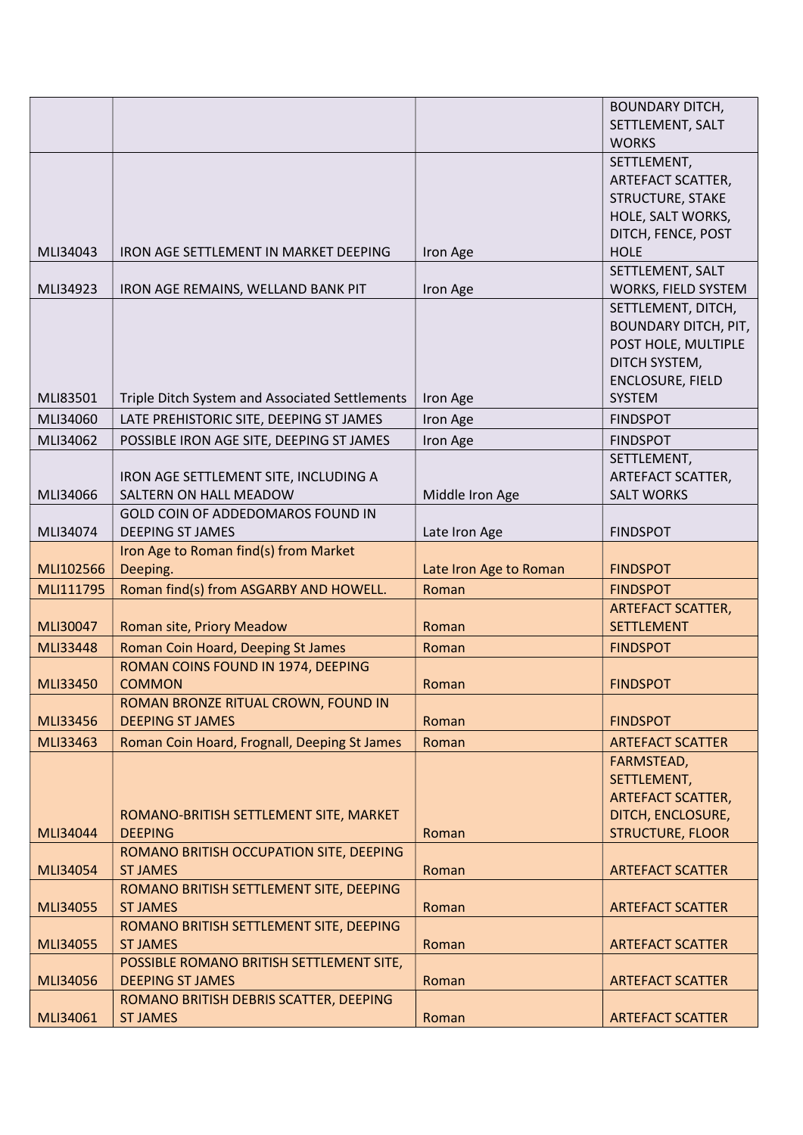|           |                                                |                        | <b>BOUNDARY DITCH,</b>      |
|-----------|------------------------------------------------|------------------------|-----------------------------|
|           |                                                |                        | SETTLEMENT, SALT            |
|           |                                                |                        | <b>WORKS</b>                |
|           |                                                |                        | SETTLEMENT,                 |
|           |                                                |                        | ARTEFACT SCATTER,           |
|           |                                                |                        | <b>STRUCTURE, STAKE</b>     |
|           |                                                |                        |                             |
|           |                                                |                        | HOLE, SALT WORKS,           |
|           |                                                |                        | DITCH, FENCE, POST          |
| MLI34043  | IRON AGE SETTLEMENT IN MARKET DEEPING          | Iron Age               | <b>HOLE</b>                 |
|           |                                                |                        | SETTLEMENT, SALT            |
| MLI34923  | IRON AGE REMAINS, WELLAND BANK PIT             | Iron Age               | WORKS, FIELD SYSTEM         |
|           |                                                |                        | SETTLEMENT, DITCH,          |
|           |                                                |                        | <b>BOUNDARY DITCH, PIT,</b> |
|           |                                                |                        | POST HOLE, MULTIPLE         |
|           |                                                |                        | DITCH SYSTEM,               |
|           |                                                |                        | ENCLOSURE, FIELD            |
| MLI83501  | Triple Ditch System and Associated Settlements | Iron Age               | <b>SYSTEM</b>               |
| MLI34060  | LATE PREHISTORIC SITE, DEEPING ST JAMES        | Iron Age               | <b>FINDSPOT</b>             |
| MLI34062  | POSSIBLE IRON AGE SITE, DEEPING ST JAMES       | Iron Age               | <b>FINDSPOT</b>             |
|           |                                                |                        | SETTLEMENT,                 |
|           | IRON AGE SETTLEMENT SITE, INCLUDING A          |                        | ARTEFACT SCATTER,           |
| MLI34066  | SALTERN ON HALL MEADOW                         | Middle Iron Age        | <b>SALT WORKS</b>           |
|           | GOLD COIN OF ADDEDOMAROS FOUND IN              |                        |                             |
| MLI34074  | <b>DEEPING ST JAMES</b>                        | Late Iron Age          | <b>FINDSPOT</b>             |
|           | Iron Age to Roman find(s) from Market          |                        |                             |
| MLI102566 | Deeping.                                       | Late Iron Age to Roman | <b>FINDSPOT</b>             |
| MLI111795 | Roman find(s) from ASGARBY AND HOWELL.         | Roman                  | <b>FINDSPOT</b>             |
|           |                                                |                        | <b>ARTEFACT SCATTER,</b>    |
| MLI30047  | <b>Roman site, Priory Meadow</b>               | Roman                  | <b>SETTLEMENT</b>           |
| MLI33448  | Roman Coin Hoard, Deeping St James             | Roman                  | <b>FINDSPOT</b>             |
|           | ROMAN COINS FOUND IN 1974, DEEPING             |                        |                             |
| MLI33450  | <b>COMMON</b>                                  | Roman                  | <b>FINDSPOT</b>             |
|           | ROMAN BRONZE RITUAL CROWN, FOUND IN            |                        |                             |
| MLI33456  | <b>DEEPING ST JAMES</b>                        | Roman                  | <b>FINDSPOT</b>             |
|           |                                                |                        |                             |
| MLI33463  | Roman Coin Hoard, Frognall, Deeping St James   | Roman                  | <b>ARTEFACT SCATTER</b>     |
|           |                                                |                        | FARMSTEAD,                  |
|           |                                                |                        | SETTLEMENT,                 |
|           |                                                |                        | <b>ARTEFACT SCATTER,</b>    |
|           | ROMANO-BRITISH SETTLEMENT SITE, MARKET         |                        | DITCH, ENCLOSURE,           |
| MLI34044  | <b>DEEPING</b>                                 | Roman                  | <b>STRUCTURE, FLOOR</b>     |
|           | ROMANO BRITISH OCCUPATION SITE, DEEPING        |                        |                             |
| MLI34054  | <b>ST JAMES</b>                                | Roman                  | <b>ARTEFACT SCATTER</b>     |
|           | ROMANO BRITISH SETTLEMENT SITE, DEEPING        |                        |                             |
| MLI34055  | <b>ST JAMES</b>                                | Roman                  | <b>ARTEFACT SCATTER</b>     |
|           | ROMANO BRITISH SETTLEMENT SITE, DEEPING        |                        |                             |
| MLI34055  | <b>ST JAMES</b>                                | Roman                  | <b>ARTEFACT SCATTER</b>     |
|           | POSSIBLE ROMANO BRITISH SETTLEMENT SITE,       |                        |                             |
| MLI34056  | <b>DEEPING ST JAMES</b>                        | Roman                  | <b>ARTEFACT SCATTER</b>     |
|           | ROMANO BRITISH DEBRIS SCATTER, DEEPING         |                        |                             |
| MLI34061  | <b>ST JAMES</b>                                | Roman                  | <b>ARTEFACT SCATTER</b>     |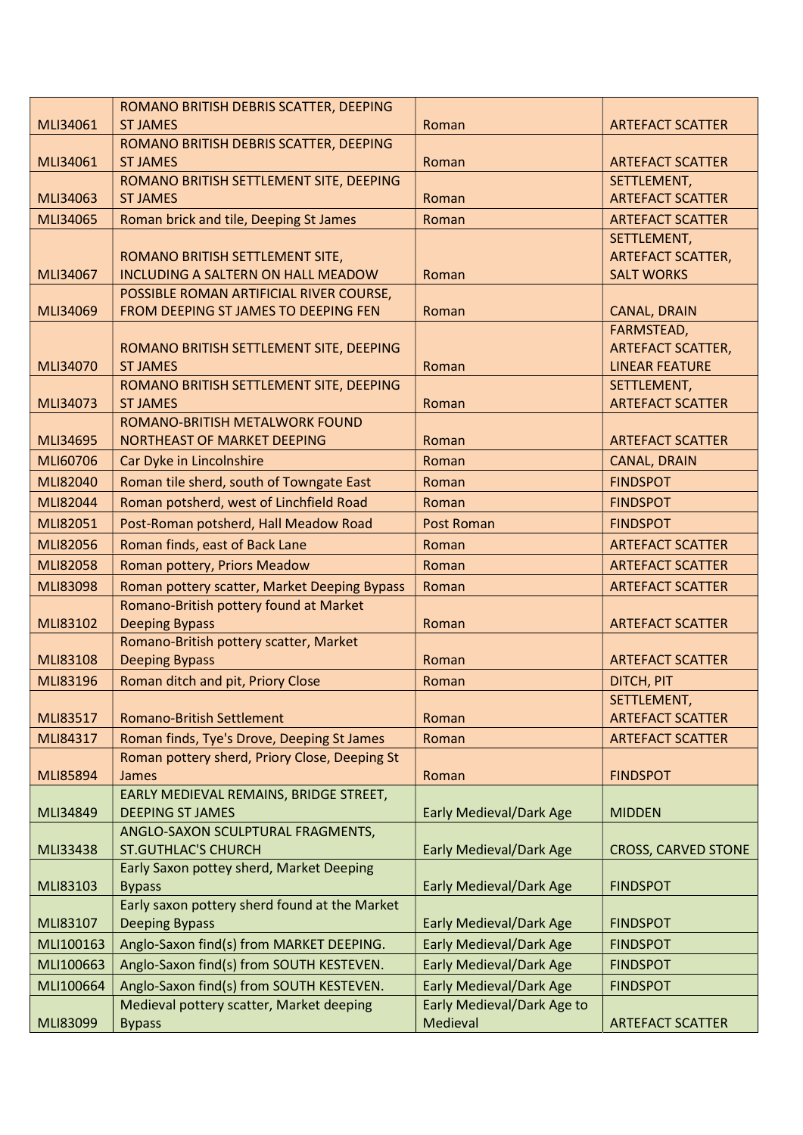|                 | ROMANO BRITISH DEBRIS SCATTER, DEEPING        |                                   |                            |
|-----------------|-----------------------------------------------|-----------------------------------|----------------------------|
| MLI34061        | <b>ST JAMES</b>                               | Roman                             | <b>ARTEFACT SCATTER</b>    |
|                 | ROMANO BRITISH DEBRIS SCATTER, DEEPING        |                                   |                            |
| MLI34061        | <b>ST JAMES</b>                               | Roman                             | <b>ARTEFACT SCATTER</b>    |
|                 | ROMANO BRITISH SETTLEMENT SITE, DEEPING       |                                   | SETTLEMENT,                |
| MLI34063        | <b>ST JAMES</b>                               | Roman                             | <b>ARTEFACT SCATTER</b>    |
| MLI34065        | Roman brick and tile, Deeping St James        | Roman                             | <b>ARTEFACT SCATTER</b>    |
|                 |                                               |                                   | SETTLEMENT,                |
|                 | ROMANO BRITISH SETTLEMENT SITE,               |                                   | <b>ARTEFACT SCATTER,</b>   |
| MLI34067        | <b>INCLUDING A SALTERN ON HALL MEADOW</b>     | Roman                             | <b>SALT WORKS</b>          |
|                 | POSSIBLE ROMAN ARTIFICIAL RIVER COURSE,       |                                   |                            |
| MLI34069        | FROM DEEPING ST JAMES TO DEEPING FEN          | Roman                             | CANAL, DRAIN               |
|                 |                                               |                                   | FARMSTEAD,                 |
|                 | ROMANO BRITISH SETTLEMENT SITE, DEEPING       |                                   | <b>ARTEFACT SCATTER,</b>   |
| MLI34070        | <b>ST JAMES</b>                               | Roman                             | <b>LINEAR FEATURE</b>      |
|                 | ROMANO BRITISH SETTLEMENT SITE, DEEPING       |                                   | SETTLEMENT,                |
| MLI34073        | <b>ST JAMES</b>                               | Roman                             | <b>ARTEFACT SCATTER</b>    |
|                 | ROMANO-BRITISH METALWORK FOUND                |                                   |                            |
| MLI34695        | NORTHEAST OF MARKET DEEPING                   | Roman                             | <b>ARTEFACT SCATTER</b>    |
| MLI60706        | Car Dyke in Lincolnshire                      | Roman                             | <b>CANAL, DRAIN</b>        |
| MLI82040        | Roman tile sherd, south of Towngate East      | Roman                             | <b>FINDSPOT</b>            |
| MLI82044        | Roman potsherd, west of Linchfield Road       | Roman                             | <b>FINDSPOT</b>            |
| MLI82051        | Post-Roman potsherd, Hall Meadow Road         | <b>Post Roman</b>                 | <b>FINDSPOT</b>            |
| MLI82056        | Roman finds, east of Back Lane                | Roman                             | <b>ARTEFACT SCATTER</b>    |
| MLI82058        | Roman pottery, Priors Meadow                  | Roman                             | <b>ARTEFACT SCATTER</b>    |
| <b>MLI83098</b> | Roman pottery scatter, Market Deeping Bypass  | Roman                             | <b>ARTEFACT SCATTER</b>    |
|                 | Romano-British pottery found at Market        |                                   |                            |
| MLI83102        | <b>Deeping Bypass</b>                         | Roman                             | <b>ARTEFACT SCATTER</b>    |
|                 | Romano-British pottery scatter, Market        |                                   |                            |
| MLI83108        | <b>Deeping Bypass</b>                         | Roman                             | <b>ARTEFACT SCATTER</b>    |
| MLI83196        | Roman ditch and pit, Priory Close             | Roman                             | DITCH, PIT                 |
|                 |                                               |                                   | SETTLEMENT,                |
| MLI83517        | <b>Romano-British Settlement</b>              | Roman                             | <b>ARTEFACT SCATTER</b>    |
| MLI84317        | Roman finds, Tye's Drove, Deeping St James    | Roman                             | <b>ARTEFACT SCATTER</b>    |
|                 | Roman pottery sherd, Priory Close, Deeping St |                                   |                            |
| MLI85894        | James                                         | Roman                             | <b>FINDSPOT</b>            |
|                 | EARLY MEDIEVAL REMAINS, BRIDGE STREET,        |                                   |                            |
| MLI34849        | <b>DEEPING ST JAMES</b>                       | <b>Early Medieval/Dark Age</b>    | <b>MIDDEN</b>              |
|                 | ANGLO-SAXON SCULPTURAL FRAGMENTS,             |                                   |                            |
| MLI33438        | <b>ST.GUTHLAC'S CHURCH</b>                    | <b>Early Medieval/Dark Age</b>    | <b>CROSS, CARVED STONE</b> |
|                 | Early Saxon pottey sherd, Market Deeping      |                                   |                            |
| MLI83103        | <b>Bypass</b>                                 | <b>Early Medieval/Dark Age</b>    | <b>FINDSPOT</b>            |
|                 | Early saxon pottery sherd found at the Market |                                   |                            |
| MLI83107        | <b>Deeping Bypass</b>                         | <b>Early Medieval/Dark Age</b>    | <b>FINDSPOT</b>            |
| MLI100163       | Anglo-Saxon find(s) from MARKET DEEPING.      | <b>Early Medieval/Dark Age</b>    | <b>FINDSPOT</b>            |
| MLI100663       | Anglo-Saxon find(s) from SOUTH KESTEVEN.      | <b>Early Medieval/Dark Age</b>    | <b>FINDSPOT</b>            |
| MLI100664       | Anglo-Saxon find(s) from SOUTH KESTEVEN.      | <b>Early Medieval/Dark Age</b>    | <b>FINDSPOT</b>            |
|                 | Medieval pottery scatter, Market deeping      | <b>Early Medieval/Dark Age to</b> |                            |
| MLI83099        | <b>Bypass</b>                                 | Medieval                          | <b>ARTEFACT SCATTER</b>    |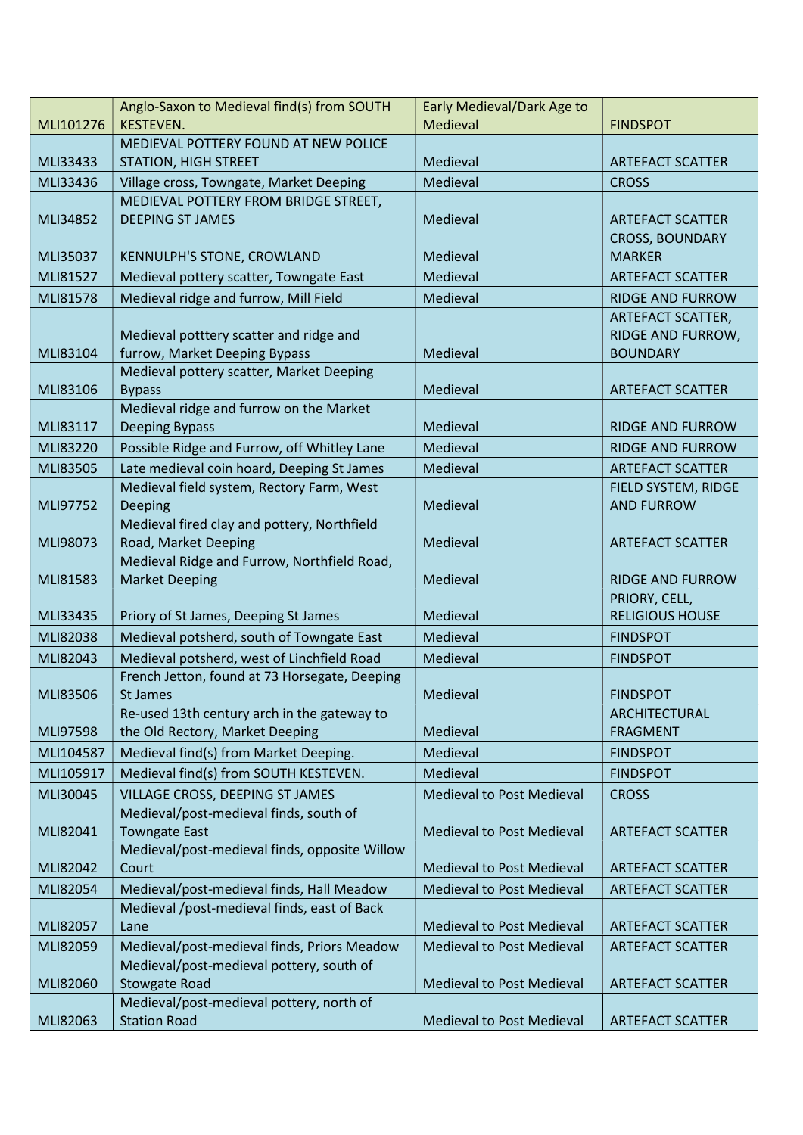|           | Anglo-Saxon to Medieval find(s) from SOUTH                          | Early Medieval/Dark Age to       |                         |
|-----------|---------------------------------------------------------------------|----------------------------------|-------------------------|
| MLI101276 | <b>KESTEVEN.</b>                                                    | Medieval                         | <b>FINDSPOT</b>         |
|           | MEDIEVAL POTTERY FOUND AT NEW POLICE                                |                                  |                         |
| MLI33433  | <b>STATION, HIGH STREET</b>                                         | Medieval                         | <b>ARTEFACT SCATTER</b> |
| MLI33436  | Village cross, Towngate, Market Deeping                             | Medieval                         | <b>CROSS</b>            |
|           | MEDIEVAL POTTERY FROM BRIDGE STREET,                                |                                  |                         |
| MLI34852  | <b>DEEPING ST JAMES</b>                                             | Medieval                         | <b>ARTEFACT SCATTER</b> |
|           |                                                                     |                                  | <b>CROSS, BOUNDARY</b>  |
| MLI35037  | KENNULPH'S STONE, CROWLAND                                          | Medieval                         | <b>MARKER</b>           |
| MLI81527  | Medieval pottery scatter, Towngate East                             | Medieval                         | <b>ARTEFACT SCATTER</b> |
| MLI81578  | Medieval ridge and furrow, Mill Field                               | Medieval                         | <b>RIDGE AND FURROW</b> |
|           |                                                                     |                                  | ARTEFACT SCATTER,       |
|           | Medieval potttery scatter and ridge and                             |                                  | RIDGE AND FURROW,       |
| MLI83104  | furrow, Market Deeping Bypass                                       | Medieval                         | <b>BOUNDARY</b>         |
|           | Medieval pottery scatter, Market Deeping                            |                                  |                         |
| MLI83106  | <b>Bypass</b>                                                       | Medieval                         | <b>ARTEFACT SCATTER</b> |
|           | Medieval ridge and furrow on the Market                             |                                  |                         |
| MLI83117  | <b>Deeping Bypass</b>                                               | Medieval                         | <b>RIDGE AND FURROW</b> |
| MLI83220  | Possible Ridge and Furrow, off Whitley Lane                         | Medieval                         | <b>RIDGE AND FURROW</b> |
| MLI83505  | Late medieval coin hoard, Deeping St James                          | Medieval                         | <b>ARTEFACT SCATTER</b> |
|           | Medieval field system, Rectory Farm, West                           |                                  | FIELD SYSTEM, RIDGE     |
| MLI97752  | Deeping                                                             | Medieval                         | <b>AND FURROW</b>       |
|           | Medieval fired clay and pottery, Northfield                         |                                  |                         |
| MLI98073  | Road, Market Deeping<br>Medieval Ridge and Furrow, Northfield Road, | Medieval                         | <b>ARTEFACT SCATTER</b> |
| MLI81583  | <b>Market Deeping</b>                                               | Medieval                         | <b>RIDGE AND FURROW</b> |
|           |                                                                     |                                  | PRIORY, CELL,           |
| MLI33435  | Priory of St James, Deeping St James                                | Medieval                         | <b>RELIGIOUS HOUSE</b>  |
| MLI82038  | Medieval potsherd, south of Towngate East                           | Medieval                         | <b>FINDSPOT</b>         |
| MLI82043  | Medieval potsherd, west of Linchfield Road                          | Medieval                         | <b>FINDSPOT</b>         |
|           | French Jetton, found at 73 Horsegate, Deeping                       |                                  |                         |
| MLI83506  | St James                                                            | Medieval                         | <b>FINDSPOT</b>         |
|           | Re-used 13th century arch in the gateway to                         |                                  | ARCHITECTURAL           |
| MLI97598  | the Old Rectory, Market Deeping                                     | Medieval                         | <b>FRAGMENT</b>         |
| MLI104587 | Medieval find(s) from Market Deeping.                               | Medieval                         | <b>FINDSPOT</b>         |
| MLI105917 | Medieval find(s) from SOUTH KESTEVEN.                               | Medieval                         | <b>FINDSPOT</b>         |
| MLI30045  | VILLAGE CROSS, DEEPING ST JAMES                                     | <b>Medieval to Post Medieval</b> |                         |
|           | Medieval/post-medieval finds, south of                              |                                  | <b>CROSS</b>            |
| MLI82041  | <b>Towngate East</b>                                                | <b>Medieval to Post Medieval</b> | <b>ARTEFACT SCATTER</b> |
|           | Medieval/post-medieval finds, opposite Willow                       |                                  |                         |
| MLI82042  | Court                                                               | <b>Medieval to Post Medieval</b> | <b>ARTEFACT SCATTER</b> |
| MLI82054  | Medieval/post-medieval finds, Hall Meadow                           | <b>Medieval to Post Medieval</b> | <b>ARTEFACT SCATTER</b> |
|           | Medieval /post-medieval finds, east of Back                         |                                  |                         |
| MLI82057  | Lane                                                                | <b>Medieval to Post Medieval</b> | <b>ARTEFACT SCATTER</b> |
| MLI82059  | Medieval/post-medieval finds, Priors Meadow                         | <b>Medieval to Post Medieval</b> | <b>ARTEFACT SCATTER</b> |
|           | Medieval/post-medieval pottery, south of                            |                                  |                         |
| MLI82060  | <b>Stowgate Road</b>                                                | <b>Medieval to Post Medieval</b> | <b>ARTEFACT SCATTER</b> |
|           | Medieval/post-medieval pottery, north of                            |                                  |                         |
| MLI82063  | <b>Station Road</b>                                                 | <b>Medieval to Post Medieval</b> | <b>ARTEFACT SCATTER</b> |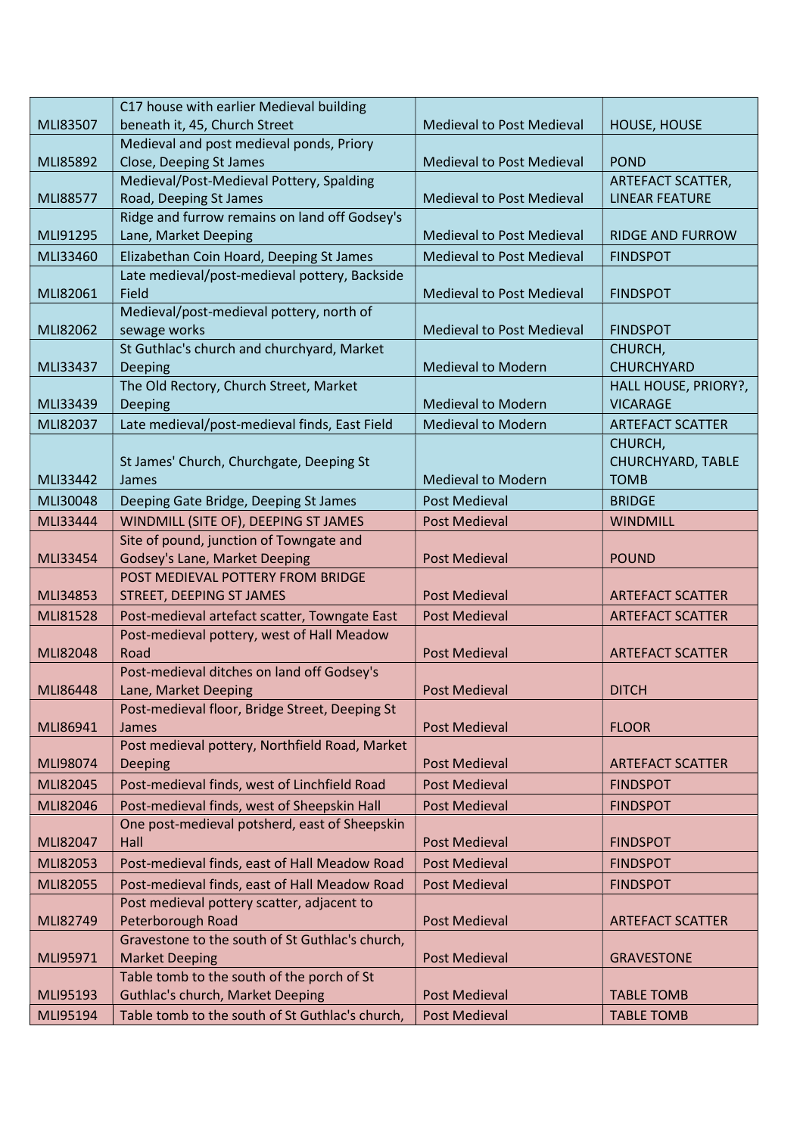|                      | C17 house with earlier Medieval building                                            |                                              |                                        |
|----------------------|-------------------------------------------------------------------------------------|----------------------------------------------|----------------------------------------|
| MLI83507             | beneath it, 45, Church Street                                                       | <b>Medieval to Post Medieval</b>             | HOUSE, HOUSE                           |
|                      | Medieval and post medieval ponds, Priory                                            |                                              |                                        |
| MLI85892             | Close, Deeping St James                                                             | <b>Medieval to Post Medieval</b>             | <b>POND</b>                            |
|                      | Medieval/Post-Medieval Pottery, Spalding                                            |                                              | ARTEFACT SCATTER,                      |
| MLI88577             | Road, Deeping St James                                                              | <b>Medieval to Post Medieval</b>             | <b>LINEAR FEATURE</b>                  |
|                      | Ridge and furrow remains on land off Godsey's                                       |                                              |                                        |
| MLI91295             | Lane, Market Deeping                                                                | <b>Medieval to Post Medieval</b>             | <b>RIDGE AND FURROW</b>                |
| MLI33460             | Elizabethan Coin Hoard, Deeping St James                                            | <b>Medieval to Post Medieval</b>             | <b>FINDSPOT</b>                        |
|                      | Late medieval/post-medieval pottery, Backside                                       |                                              |                                        |
| MLI82061             | Field                                                                               | <b>Medieval to Post Medieval</b>             | <b>FINDSPOT</b>                        |
|                      | Medieval/post-medieval pottery, north of                                            |                                              |                                        |
| MLI82062             | sewage works                                                                        | <b>Medieval to Post Medieval</b>             | <b>FINDSPOT</b>                        |
|                      | St Guthlac's church and churchyard, Market                                          |                                              | CHURCH,                                |
| MLI33437             | Deeping                                                                             | <b>Medieval to Modern</b>                    | <b>CHURCHYARD</b>                      |
|                      | The Old Rectory, Church Street, Market                                              |                                              | HALL HOUSE, PRIORY?,                   |
| MLI33439             | Deeping                                                                             | <b>Medieval to Modern</b>                    | <b>VICARAGE</b>                        |
| MLI82037             | Late medieval/post-medieval finds, East Field                                       | <b>Medieval to Modern</b>                    | <b>ARTEFACT SCATTER</b>                |
|                      |                                                                                     |                                              | CHURCH,                                |
|                      | St James' Church, Churchgate, Deeping St                                            |                                              | CHURCHYARD, TABLE                      |
| MLI33442             | James                                                                               | <b>Medieval to Modern</b>                    | <b>TOMB</b>                            |
| MLI30048             | Deeping Gate Bridge, Deeping St James                                               | <b>Post Medieval</b>                         | <b>BRIDGE</b>                          |
| <b>MLI33444</b>      | WINDMILL (SITE OF), DEEPING ST JAMES                                                | <b>Post Medieval</b>                         | <b>WINDMILL</b>                        |
|                      | Site of pound, junction of Towngate and                                             |                                              |                                        |
| MLI33454             | Godsey's Lane, Market Deeping                                                       | <b>Post Medieval</b>                         | <b>POUND</b>                           |
|                      | POST MEDIEVAL POTTERY FROM BRIDGE                                                   |                                              |                                        |
| MLI34853             | STREET, DEEPING ST JAMES                                                            | <b>Post Medieval</b>                         | <b>ARTEFACT SCATTER</b>                |
| MLI81528             | Post-medieval artefact scatter, Towngate East                                       | <b>Post Medieval</b>                         | <b>ARTEFACT SCATTER</b>                |
|                      | Post-medieval pottery, west of Hall Meadow                                          |                                              |                                        |
| <b>MLI82048</b>      | Road                                                                                | <b>Post Medieval</b>                         | <b>ARTEFACT SCATTER</b>                |
|                      | Post-medieval ditches on land off Godsey's                                          |                                              |                                        |
| MLI86448             | Lane, Market Deeping                                                                | <b>Post Medieval</b>                         | <b>DITCH</b>                           |
|                      | Post-medieval floor, Bridge Street, Deeping St                                      |                                              |                                        |
| MLI86941             | James                                                                               | <b>Post Medieval</b>                         | <b>FLOOR</b>                           |
|                      | Post medieval pottery, Northfield Road, Market                                      |                                              |                                        |
| MLI98074             | Deeping                                                                             | <b>Post Medieval</b>                         | <b>ARTEFACT SCATTER</b>                |
| MLI82045             | Post-medieval finds, west of Linchfield Road                                        | <b>Post Medieval</b>                         | <b>FINDSPOT</b>                        |
| MLI82046             | Post-medieval finds, west of Sheepskin Hall                                         | <b>Post Medieval</b>                         | <b>FINDSPOT</b>                        |
|                      | One post-medieval potsherd, east of Sheepskin                                       |                                              |                                        |
| MLI82047             | Hall                                                                                | <b>Post Medieval</b>                         | <b>FINDSPOT</b>                        |
| MLI82053             | Post-medieval finds, east of Hall Meadow Road                                       | <b>Post Medieval</b>                         | <b>FINDSPOT</b>                        |
| MLI82055             | Post-medieval finds, east of Hall Meadow Road                                       | <b>Post Medieval</b>                         | <b>FINDSPOT</b>                        |
|                      | Post medieval pottery scatter, adjacent to                                          |                                              |                                        |
| MLI82749             | Peterborough Road                                                                   | <b>Post Medieval</b>                         | <b>ARTEFACT SCATTER</b>                |
|                      |                                                                                     |                                              |                                        |
|                      | Gravestone to the south of St Guthlac's church,                                     |                                              |                                        |
| MLI95971             | <b>Market Deeping</b>                                                               | <b>Post Medieval</b>                         | <b>GRAVESTONE</b>                      |
|                      | Table tomb to the south of the porch of St                                          |                                              |                                        |
| MLI95193<br>MLI95194 | Guthlac's church, Market Deeping<br>Table tomb to the south of St Guthlac's church, | <b>Post Medieval</b><br><b>Post Medieval</b> | <b>TABLE TOMB</b><br><b>TABLE TOMB</b> |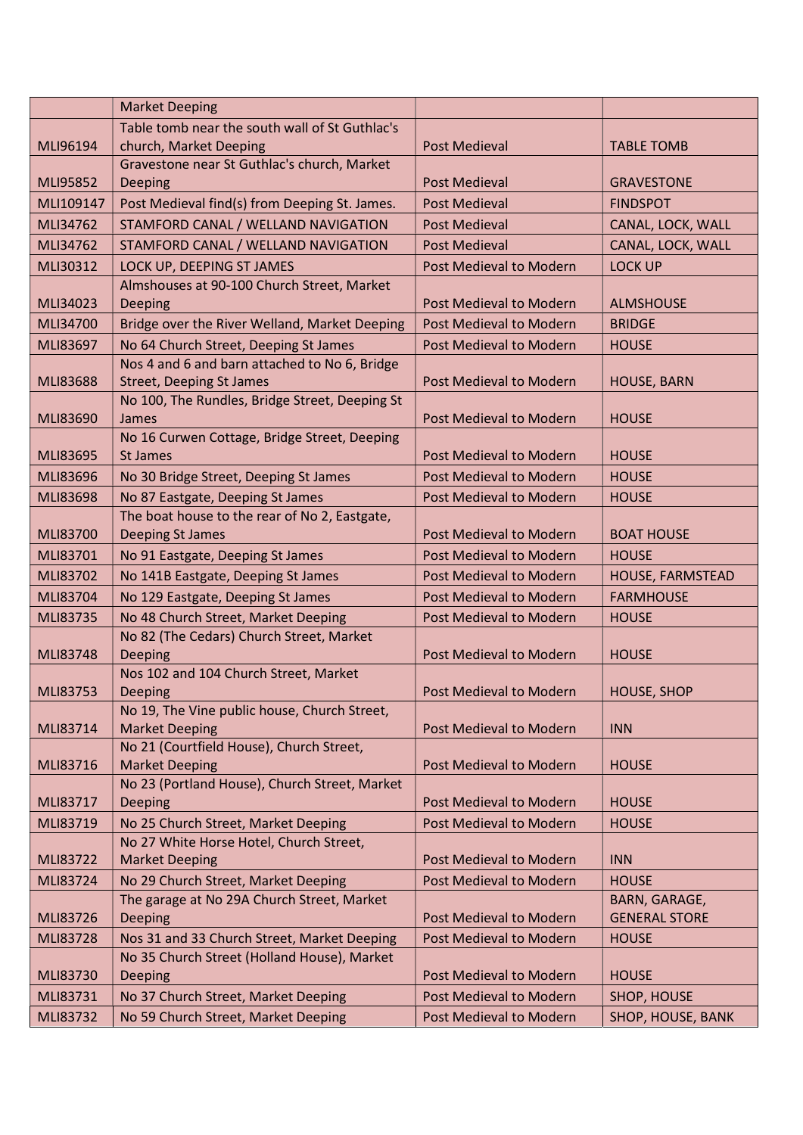|           | <b>Market Deeping</b>                                                             |                         |                               |
|-----------|-----------------------------------------------------------------------------------|-------------------------|-------------------------------|
|           | Table tomb near the south wall of St Guthlac's                                    |                         |                               |
| MLI96194  | church, Market Deeping                                                            | Post Medieval           | <b>TABLE TOMB</b>             |
|           | Gravestone near St Guthlac's church, Market                                       |                         |                               |
| MLI95852  | Deeping                                                                           | <b>Post Medieval</b>    | <b>GRAVESTONE</b>             |
| MLI109147 | Post Medieval find(s) from Deeping St. James.                                     | <b>Post Medieval</b>    | <b>FINDSPOT</b>               |
| MLI34762  | STAMFORD CANAL / WELLAND NAVIGATION                                               | <b>Post Medieval</b>    | CANAL, LOCK, WALL             |
| MLI34762  | STAMFORD CANAL / WELLAND NAVIGATION                                               | <b>Post Medieval</b>    | CANAL, LOCK, WALL             |
| MLI30312  | LOCK UP, DEEPING ST JAMES                                                         | Post Medieval to Modern | <b>LOCK UP</b>                |
|           | Almshouses at 90-100 Church Street, Market                                        |                         |                               |
| MLI34023  | <b>Deeping</b>                                                                    | Post Medieval to Modern | <b>ALMSHOUSE</b>              |
| MLI34700  | Bridge over the River Welland, Market Deeping                                     | Post Medieval to Modern | <b>BRIDGE</b>                 |
| MLI83697  | No 64 Church Street, Deeping St James                                             | Post Medieval to Modern | <b>HOUSE</b>                  |
|           | Nos 4 and 6 and barn attached to No 6, Bridge                                     |                         |                               |
| MLI83688  | <b>Street, Deeping St James</b>                                                   | Post Medieval to Modern | <b>HOUSE, BARN</b>            |
|           | No 100, The Rundles, Bridge Street, Deeping St                                    |                         |                               |
| MLI83690  | James                                                                             | Post Medieval to Modern | <b>HOUSE</b>                  |
| MLI83695  | No 16 Curwen Cottage, Bridge Street, Deeping<br><b>St James</b>                   |                         |                               |
|           |                                                                                   | Post Medieval to Modern | <b>HOUSE</b>                  |
| MLI83696  | No 30 Bridge Street, Deeping St James                                             | Post Medieval to Modern | <b>HOUSE</b>                  |
| MLI83698  | No 87 Eastgate, Deeping St James                                                  | Post Medieval to Modern | <b>HOUSE</b>                  |
| MLI83700  | The boat house to the rear of No 2, Eastgate,<br>Deeping St James                 | Post Medieval to Modern | <b>BOAT HOUSE</b>             |
| MLI83701  | No 91 Eastgate, Deeping St James                                                  | Post Medieval to Modern | <b>HOUSE</b>                  |
| MLI83702  | No 141B Eastgate, Deeping St James                                                | Post Medieval to Modern | HOUSE, FARMSTEAD              |
| MLI83704  |                                                                                   | Post Medieval to Modern | <b>FARMHOUSE</b>              |
|           | No 129 Eastgate, Deeping St James                                                 |                         |                               |
| MLI83735  | No 48 Church Street, Market Deeping<br>No 82 (The Cedars) Church Street, Market   | Post Medieval to Modern | <b>HOUSE</b>                  |
| MLI83748  | Deeping                                                                           | Post Medieval to Modern | <b>HOUSE</b>                  |
|           | Nos 102 and 104 Church Street, Market                                             |                         |                               |
| MLI83753  | Deeping                                                                           | Post Medieval to Modern | <b>HOUSE, SHOP</b>            |
|           | No 19, The Vine public house, Church Street,                                      |                         |                               |
| MLI83714  | <b>Market Deeping</b>                                                             | Post Medieval to Modern | <b>INN</b>                    |
|           | No 21 (Courtfield House), Church Street,                                          |                         |                               |
| MLI83716  | <b>Market Deeping</b>                                                             | Post Medieval to Modern | <b>HOUSE</b>                  |
|           | No 23 (Portland House), Church Street, Market                                     |                         |                               |
| MLI83717  | Deeping                                                                           | Post Medieval to Modern | <b>HOUSE</b>                  |
| MLI83719  | No 25 Church Street, Market Deeping                                               | Post Medieval to Modern | <b>HOUSE</b>                  |
| MLI83722  | No 27 White Horse Hotel, Church Street,                                           | Post Medieval to Modern | <b>INN</b>                    |
|           | <b>Market Deeping</b>                                                             |                         |                               |
| MLI83724  | No 29 Church Street, Market Deeping<br>The garage at No 29A Church Street, Market | Post Medieval to Modern | <b>HOUSE</b><br>BARN, GARAGE, |
| MLI83726  | <b>Deeping</b>                                                                    | Post Medieval to Modern | <b>GENERAL STORE</b>          |
| MLI83728  | Nos 31 and 33 Church Street, Market Deeping                                       | Post Medieval to Modern | <b>HOUSE</b>                  |
|           | No 35 Church Street (Holland House), Market                                       |                         |                               |
| MLI83730  | Deeping                                                                           | Post Medieval to Modern | <b>HOUSE</b>                  |
| MLI83731  | No 37 Church Street, Market Deeping                                               | Post Medieval to Modern | SHOP, HOUSE                   |
| MLI83732  | No 59 Church Street, Market Deeping                                               | Post Medieval to Modern | SHOP, HOUSE, BANK             |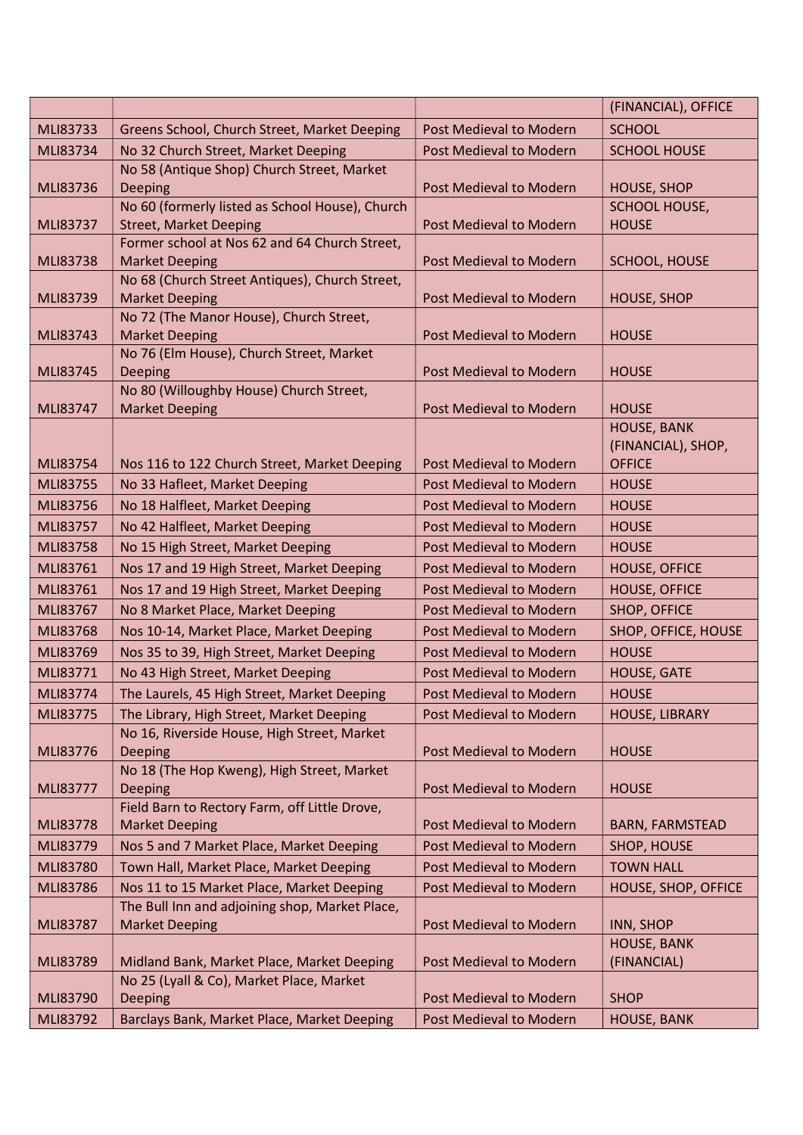|          |                                                                         |                                | (FINANCIAL), OFFICE                    |
|----------|-------------------------------------------------------------------------|--------------------------------|----------------------------------------|
| MLI83733 | Greens School, Church Street, Market Deeping                            | Post Medieval to Modern        | <b>SCHOOL</b>                          |
| MLI83734 | No 32 Church Street, Market Deeping                                     | Post Medieval to Modern        | <b>SCHOOL HOUSE</b>                    |
|          | No 58 (Antique Shop) Church Street, Market                              |                                |                                        |
| MLI83736 | Deeping                                                                 | Post Medieval to Modern        | <b>HOUSE, SHOP</b>                     |
|          | No 60 (formerly listed as School House), Church                         |                                | <b>SCHOOL HOUSE,</b>                   |
| MLI83737 | <b>Street, Market Deeping</b>                                           | <b>Post Medieval to Modern</b> | <b>HOUSE</b>                           |
|          | Former school at Nos 62 and 64 Church Street,                           |                                |                                        |
| MLI83738 | <b>Market Deeping</b>                                                   | Post Medieval to Modern        | SCHOOL, HOUSE                          |
| MLI83739 | No 68 (Church Street Antiques), Church Street,<br><b>Market Deeping</b> | Post Medieval to Modern        | <b>HOUSE, SHOP</b>                     |
|          | No 72 (The Manor House), Church Street,                                 |                                |                                        |
| MLI83743 | <b>Market Deeping</b>                                                   | Post Medieval to Modern        | <b>HOUSE</b>                           |
|          | No 76 (Elm House), Church Street, Market                                |                                |                                        |
| MLI83745 | Deeping                                                                 | <b>Post Medieval to Modern</b> | <b>HOUSE</b>                           |
|          | No 80 (Willoughby House) Church Street,                                 |                                |                                        |
| MLI83747 | <b>Market Deeping</b>                                                   | Post Medieval to Modern        | <b>HOUSE</b>                           |
|          |                                                                         |                                | <b>HOUSE, BANK</b>                     |
|          |                                                                         |                                | (FINANCIAL), SHOP,                     |
| MLI83754 | Nos 116 to 122 Church Street, Market Deeping                            | <b>Post Medieval to Modern</b> | <b>OFFICE</b>                          |
| MLI83755 | No 33 Hafleet, Market Deeping                                           | Post Medieval to Modern        | <b>HOUSE</b>                           |
| MLI83756 | No 18 Halfleet, Market Deeping                                          | Post Medieval to Modern        | <b>HOUSE</b>                           |
| MLI83757 | No 42 Halfleet, Market Deeping                                          | Post Medieval to Modern        | <b>HOUSE</b>                           |
| MLI83758 | No 15 High Street, Market Deeping                                       | Post Medieval to Modern        | <b>HOUSE</b>                           |
| MLI83761 | Nos 17 and 19 High Street, Market Deeping                               | Post Medieval to Modern        | <b>HOUSE, OFFICE</b>                   |
| MLI83761 | Nos 17 and 19 High Street, Market Deeping                               | Post Medieval to Modern        | <b>HOUSE, OFFICE</b>                   |
| MLI83767 | No 8 Market Place, Market Deeping                                       | Post Medieval to Modern        | SHOP, OFFICE                           |
| MLI83768 | Nos 10-14, Market Place, Market Deeping                                 | <b>Post Medieval to Modern</b> | SHOP, OFFICE, HOUSE                    |
| MLI83769 | Nos 35 to 39, High Street, Market Deeping                               | <b>Post Medieval to Modern</b> | <b>HOUSE</b>                           |
| MLI83771 | No 43 High Street, Market Deeping                                       | Post Medieval to Modern        | <b>HOUSE, GATE</b>                     |
| MLI83774 | The Laurels, 45 High Street, Market Deeping                             | <b>Post Medieval to Modern</b> | <b>HOUSE</b>                           |
| MLI83775 | The Library, High Street, Market Deeping                                | Post Medieval to Modern        | HOUSE, LIBRARY                         |
|          | No 16, Riverside House, High Street, Market                             |                                |                                        |
| MLI83776 | Deeping                                                                 | Post Medieval to Modern        | <b>HOUSE</b>                           |
|          | No 18 (The Hop Kweng), High Street, Market                              |                                |                                        |
| MLI83777 | <b>Deeping</b>                                                          | Post Medieval to Modern        | <b>HOUSE</b>                           |
|          | Field Barn to Rectory Farm, off Little Drove,                           |                                |                                        |
| MLI83778 | <b>Market Deeping</b>                                                   | <b>Post Medieval to Modern</b> | <b>BARN, FARMSTEAD</b>                 |
| MLI83779 | Nos 5 and 7 Market Place, Market Deeping                                | Post Medieval to Modern        | SHOP, HOUSE                            |
| MLI83780 | Town Hall, Market Place, Market Deeping                                 | Post Medieval to Modern        | <b>TOWN HALL</b>                       |
| MLI83786 | Nos 11 to 15 Market Place, Market Deeping                               | Post Medieval to Modern        | HOUSE, SHOP, OFFICE                    |
|          | The Bull Inn and adjoining shop, Market Place,                          |                                |                                        |
| MLI83787 | <b>Market Deeping</b>                                                   | Post Medieval to Modern        | <b>INN, SHOP</b><br><b>HOUSE, BANK</b> |
| MLI83789 | Midland Bank, Market Place, Market Deeping                              | Post Medieval to Modern        | (FINANCIAL)                            |
|          | No 25 (Lyall & Co), Market Place, Market                                |                                |                                        |
| MLI83790 | Deeping                                                                 | Post Medieval to Modern        | <b>SHOP</b>                            |
| MLI83792 | Barclays Bank, Market Place, Market Deeping                             | Post Medieval to Modern        | <b>HOUSE, BANK</b>                     |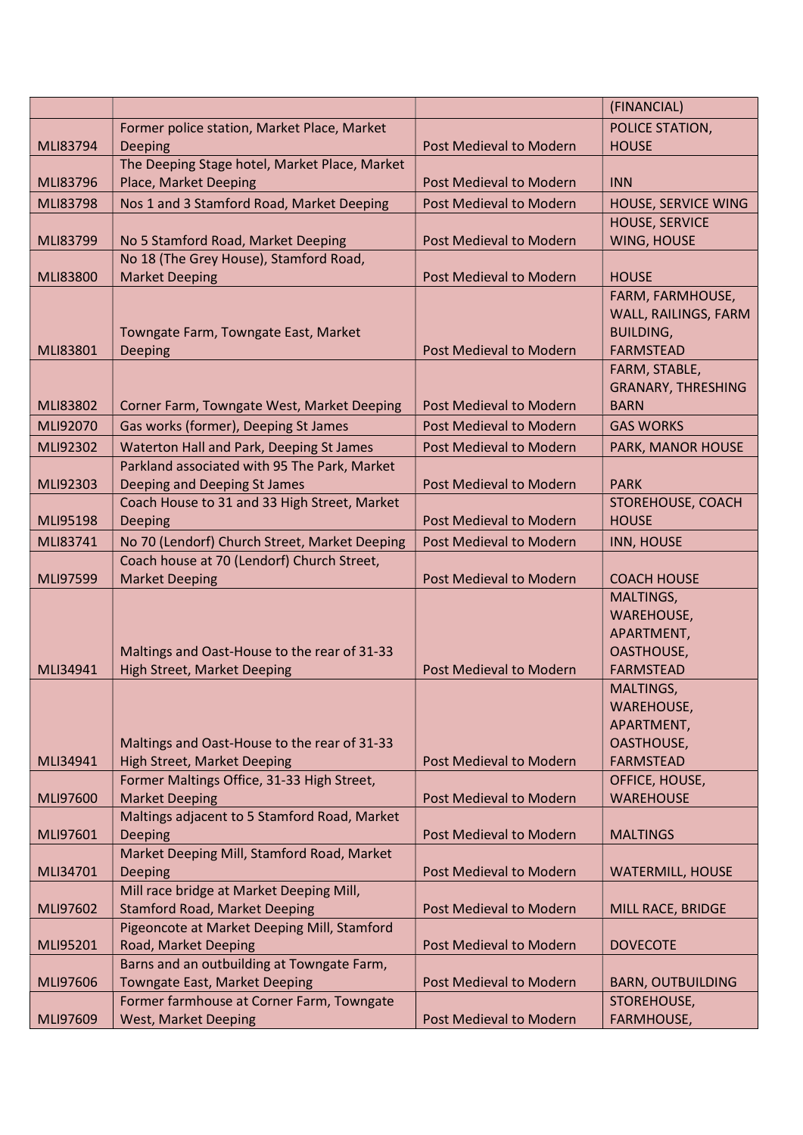|                 |                                               |                                | (FINANCIAL)                |
|-----------------|-----------------------------------------------|--------------------------------|----------------------------|
|                 | Former police station, Market Place, Market   |                                | POLICE STATION,            |
| MLI83794        | Deeping                                       | Post Medieval to Modern        | <b>HOUSE</b>               |
|                 | The Deeping Stage hotel, Market Place, Market |                                |                            |
| <b>MLI83796</b> | Place, Market Deeping                         | Post Medieval to Modern        | <b>INN</b>                 |
| MLI83798        | Nos 1 and 3 Stamford Road, Market Deeping     | Post Medieval to Modern        | <b>HOUSE, SERVICE WING</b> |
|                 |                                               |                                | <b>HOUSE, SERVICE</b>      |
| MLI83799        | No 5 Stamford Road, Market Deeping            | Post Medieval to Modern        | WING, HOUSE                |
|                 | No 18 (The Grey House), Stamford Road,        |                                |                            |
| MLI83800        | <b>Market Deeping</b>                         | Post Medieval to Modern        | <b>HOUSE</b>               |
|                 |                                               |                                | FARM, FARMHOUSE,           |
|                 |                                               |                                | WALL, RAILINGS, FARM       |
|                 | Towngate Farm, Towngate East, Market          |                                | <b>BUILDING,</b>           |
| MLI83801        | Deeping                                       | Post Medieval to Modern        | <b>FARMSTEAD</b>           |
|                 |                                               |                                | FARM, STABLE,              |
|                 |                                               |                                | <b>GRANARY, THRESHING</b>  |
| MLI83802        | Corner Farm, Towngate West, Market Deeping    | Post Medieval to Modern        | <b>BARN</b>                |
| MLI92070        | Gas works (former), Deeping St James          | Post Medieval to Modern        | <b>GAS WORKS</b>           |
| MLI92302        | Waterton Hall and Park, Deeping St James      | Post Medieval to Modern        | PARK, MANOR HOUSE          |
|                 | Parkland associated with 95 The Park, Market  |                                |                            |
| MLI92303        | Deeping and Deeping St James                  | Post Medieval to Modern        | <b>PARK</b>                |
|                 | Coach House to 31 and 33 High Street, Market  |                                | STOREHOUSE, COACH          |
| MLI95198        | Deeping                                       | Post Medieval to Modern        | <b>HOUSE</b>               |
| MLI83741        | No 70 (Lendorf) Church Street, Market Deeping | Post Medieval to Modern        | <b>INN, HOUSE</b>          |
|                 | Coach house at 70 (Lendorf) Church Street,    |                                |                            |
| MLI97599        | <b>Market Deeping</b>                         | Post Medieval to Modern        | <b>COACH HOUSE</b>         |
|                 |                                               |                                | MALTINGS,                  |
|                 |                                               |                                | <b>WAREHOUSE,</b>          |
|                 | Maltings and Oast-House to the rear of 31-33  |                                | APARTMENT,<br>OASTHOUSE,   |
| MLI34941        | <b>High Street, Market Deeping</b>            | Post Medieval to Modern        | <b>FARMSTEAD</b>           |
|                 |                                               |                                | MALTINGS,                  |
|                 |                                               |                                | <b>WAREHOUSE,</b>          |
|                 |                                               |                                | APARTMENT,                 |
|                 | Maltings and Oast-House to the rear of 31-33  |                                | OASTHOUSE,                 |
| MLI34941        | <b>High Street, Market Deeping</b>            | Post Medieval to Modern        | <b>FARMSTEAD</b>           |
|                 | Former Maltings Office, 31-33 High Street,    |                                | OFFICE, HOUSE,             |
| MLI97600        | <b>Market Deeping</b>                         | Post Medieval to Modern        | <b>WAREHOUSE</b>           |
|                 | Maltings adjacent to 5 Stamford Road, Market  |                                |                            |
| MLI97601        | Deeping                                       | Post Medieval to Modern        | <b>MALTINGS</b>            |
|                 | Market Deeping Mill, Stamford Road, Market    |                                |                            |
| MLI34701        | Deeping                                       | Post Medieval to Modern        | <b>WATERMILL, HOUSE</b>    |
|                 | Mill race bridge at Market Deeping Mill,      |                                |                            |
| MLI97602        | <b>Stamford Road, Market Deeping</b>          | Post Medieval to Modern        | MILL RACE, BRIDGE          |
|                 | Pigeoncote at Market Deeping Mill, Stamford   |                                |                            |
| MLI95201        | Road, Market Deeping                          | <b>Post Medieval to Modern</b> | <b>DOVECOTE</b>            |
|                 | Barns and an outbuilding at Towngate Farm,    |                                |                            |
| MLI97606        | Towngate East, Market Deeping                 | Post Medieval to Modern        | <b>BARN, OUTBUILDING</b>   |
|                 | Former farmhouse at Corner Farm, Towngate     |                                | STOREHOUSE,                |
| MLI97609        | <b>West, Market Deeping</b>                   | Post Medieval to Modern        | FARMHOUSE,                 |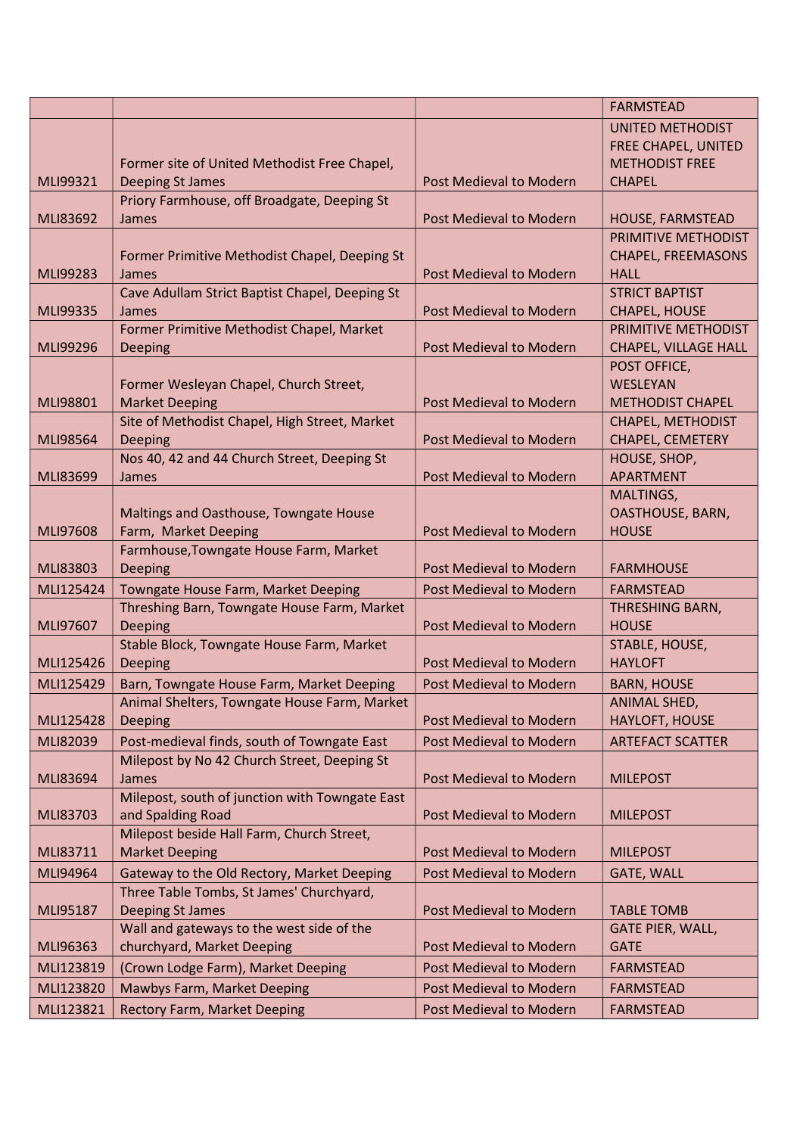|           |                                                |                                | <b>FARMSTEAD</b>           |
|-----------|------------------------------------------------|--------------------------------|----------------------------|
|           |                                                |                                | <b>UNITED METHODIST</b>    |
|           |                                                |                                | <b>FREE CHAPEL, UNITED</b> |
|           | Former site of United Methodist Free Chapel,   |                                | <b>METHODIST FREE</b>      |
| MLI99321  | <b>Deeping St James</b>                        | Post Medieval to Modern        | <b>CHAPEL</b>              |
|           | Priory Farmhouse, off Broadgate, Deeping St    |                                |                            |
| MLI83692  | James                                          | Post Medieval to Modern        | HOUSE, FARMSTEAD           |
|           |                                                |                                | PRIMITIVE METHODIST        |
|           | Former Primitive Methodist Chapel, Deeping St  |                                | <b>CHAPEL, FREEMASONS</b>  |
| MLI99283  | James                                          | <b>Post Medieval to Modern</b> | <b>HALL</b>                |
|           | Cave Adullam Strict Baptist Chapel, Deeping St |                                | <b>STRICT BAPTIST</b>      |
| MLI99335  | James                                          | Post Medieval to Modern        | <b>CHAPEL, HOUSE</b>       |
|           | Former Primitive Methodist Chapel, Market      |                                | PRIMITIVE METHODIST        |
| MLI99296  | Deeping                                        | <b>Post Medieval to Modern</b> | CHAPEL, VILLAGE HALL       |
|           |                                                |                                | POST OFFICE,               |
|           | Former Wesleyan Chapel, Church Street,         |                                | WESLEYAN                   |
| MLI98801  | <b>Market Deeping</b>                          | Post Medieval to Modern        | <b>METHODIST CHAPEL</b>    |
|           | Site of Methodist Chapel, High Street, Market  |                                | <b>CHAPEL, METHODIST</b>   |
| MLI98564  | Deeping                                        | Post Medieval to Modern        | CHAPEL, CEMETERY           |
|           | Nos 40, 42 and 44 Church Street, Deeping St    |                                | HOUSE, SHOP,               |
| MLI83699  | James                                          | <b>Post Medieval to Modern</b> | <b>APARTMENT</b>           |
|           |                                                |                                | MALTINGS,                  |
|           | Maltings and Oasthouse, Towngate House         |                                | OASTHOUSE, BARN,           |
| MLI97608  | Farm, Market Deeping                           | Post Medieval to Modern        | <b>HOUSE</b>               |
|           | Farmhouse, Towngate House Farm, Market         |                                |                            |
| MLI83803  | Deeping                                        | <b>Post Medieval to Modern</b> | <b>FARMHOUSE</b>           |
| MLI125424 | Towngate House Farm, Market Deeping            | Post Medieval to Modern        | <b>FARMSTEAD</b>           |
|           | Threshing Barn, Towngate House Farm, Market    |                                | THRESHING BARN,            |
| MLI97607  | Deeping                                        | Post Medieval to Modern        | <b>HOUSE</b>               |
|           | Stable Block, Towngate House Farm, Market      |                                | STABLE, HOUSE,             |
| MLI125426 | Deeping                                        | Post Medieval to Modern        | <b>HAYLOFT</b>             |
| MLI125429 | Barn, Towngate House Farm, Market Deeping      | Post Medieval to Modern        | <b>BARN, HOUSE</b>         |
|           | Animal Shelters, Towngate House Farm, Market   |                                | ANIMAL SHED,               |
| MLI125428 | Deeping                                        | Post Medieval to Modern        | HAYLOFT, HOUSE             |
| MLI82039  | Post-medieval finds, south of Towngate East    | Post Medieval to Modern        | <b>ARTEFACT SCATTER</b>    |
|           | Milepost by No 42 Church Street, Deeping St    |                                |                            |
| MLI83694  | James                                          | Post Medieval to Modern        | <b>MILEPOST</b>            |
|           | Milepost, south of junction with Towngate East |                                |                            |
| MLI83703  | and Spalding Road                              | Post Medieval to Modern        | <b>MILEPOST</b>            |
|           | Milepost beside Hall Farm, Church Street,      |                                |                            |
| MLI83711  | <b>Market Deeping</b>                          | Post Medieval to Modern        | <b>MILEPOST</b>            |
| MLI94964  | Gateway to the Old Rectory, Market Deeping     | Post Medieval to Modern        | <b>GATE, WALL</b>          |
|           | Three Table Tombs, St James' Churchyard,       |                                |                            |
| MLI95187  | <b>Deeping St James</b>                        | Post Medieval to Modern        | <b>TABLE TOMB</b>          |
|           | Wall and gateways to the west side of the      |                                | <b>GATE PIER, WALL,</b>    |
| MLI96363  | churchyard, Market Deeping                     | Post Medieval to Modern        | <b>GATE</b>                |
| MLI123819 | (Crown Lodge Farm), Market Deeping             | Post Medieval to Modern        | <b>FARMSTEAD</b>           |
| MLI123820 | Mawbys Farm, Market Deeping                    | Post Medieval to Modern        | <b>FARMSTEAD</b>           |
| MLI123821 | <b>Rectory Farm, Market Deeping</b>            | Post Medieval to Modern        | <b>FARMSTEAD</b>           |
|           |                                                |                                |                            |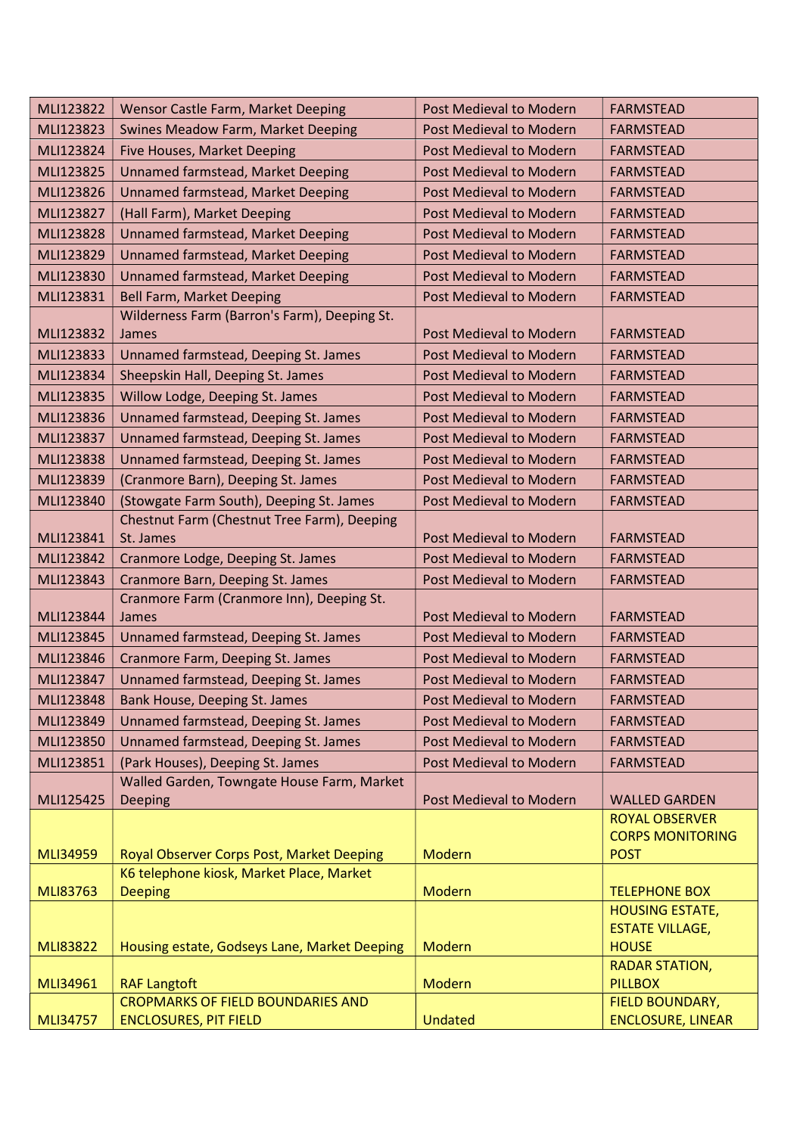| MLI123822       | Wensor Castle Farm, Market Deeping                                             | Post Medieval to Modern        | <b>FARMSTEAD</b>                       |
|-----------------|--------------------------------------------------------------------------------|--------------------------------|----------------------------------------|
| MLI123823       | Swines Meadow Farm, Market Deeping                                             | Post Medieval to Modern        | <b>FARMSTEAD</b>                       |
| MLI123824       | Five Houses, Market Deeping                                                    | Post Medieval to Modern        | <b>FARMSTEAD</b>                       |
| MLI123825       | Unnamed farmstead, Market Deeping                                              | Post Medieval to Modern        | <b>FARMSTEAD</b>                       |
| MLI123826       | Unnamed farmstead, Market Deeping                                              | Post Medieval to Modern        | <b>FARMSTEAD</b>                       |
| MLI123827       | (Hall Farm), Market Deeping                                                    | Post Medieval to Modern        | <b>FARMSTEAD</b>                       |
| MLI123828       | Unnamed farmstead, Market Deeping                                              | <b>Post Medieval to Modern</b> | <b>FARMSTEAD</b>                       |
| MLI123829       | Unnamed farmstead, Market Deeping                                              | Post Medieval to Modern        | <b>FARMSTEAD</b>                       |
| MLI123830       | Unnamed farmstead, Market Deeping                                              | Post Medieval to Modern        | <b>FARMSTEAD</b>                       |
| MLI123831       | <b>Bell Farm, Market Deeping</b>                                               | Post Medieval to Modern        | <b>FARMSTEAD</b>                       |
|                 | Wilderness Farm (Barron's Farm), Deeping St.                                   |                                |                                        |
| MLI123832       | James                                                                          | Post Medieval to Modern        | <b>FARMSTEAD</b>                       |
| MLI123833       | Unnamed farmstead, Deeping St. James                                           | <b>Post Medieval to Modern</b> | <b>FARMSTEAD</b>                       |
| MLI123834       | Sheepskin Hall, Deeping St. James                                              | Post Medieval to Modern        | <b>FARMSTEAD</b>                       |
| MLI123835       | Willow Lodge, Deeping St. James                                                | Post Medieval to Modern        | <b>FARMSTEAD</b>                       |
| MLI123836       | Unnamed farmstead, Deeping St. James                                           | Post Medieval to Modern        | <b>FARMSTEAD</b>                       |
| MLI123837       | Unnamed farmstead, Deeping St. James                                           | Post Medieval to Modern        | <b>FARMSTEAD</b>                       |
| MLI123838       | Unnamed farmstead, Deeping St. James                                           | Post Medieval to Modern        | <b>FARMSTEAD</b>                       |
| MLI123839       | (Cranmore Barn), Deeping St. James                                             | Post Medieval to Modern        | <b>FARMSTEAD</b>                       |
| MLI123840       | (Stowgate Farm South), Deeping St. James                                       | Post Medieval to Modern        | <b>FARMSTEAD</b>                       |
|                 | Chestnut Farm (Chestnut Tree Farm), Deeping                                    |                                |                                        |
| MLI123841       | St. James                                                                      | Post Medieval to Modern        | <b>FARMSTEAD</b>                       |
| MLI123842       | Cranmore Lodge, Deeping St. James                                              | Post Medieval to Modern        | <b>FARMSTEAD</b>                       |
| MLI123843       | Cranmore Barn, Deeping St. James                                               | Post Medieval to Modern        | <b>FARMSTEAD</b>                       |
|                 | Cranmore Farm (Cranmore Inn), Deeping St.                                      |                                |                                        |
| MLI123844       | James                                                                          | Post Medieval to Modern        | <b>FARMSTEAD</b>                       |
| MLI123845       | Unnamed farmstead, Deeping St. James                                           | Post Medieval to Modern        | <b>FARMSTEAD</b>                       |
| MLI123846       | Cranmore Farm, Deeping St. James                                               | Post Medieval to Modern        | <b>FARMSTEAD</b>                       |
| MLI123847       | Unnamed farmstead, Deeping St. James                                           | Post Medieval to Modern        | <b>FARMSTEAD</b>                       |
| MLI123848       | Bank House, Deeping St. James                                                  | Post Medieval to Modern        | <b>FARMSTEAD</b>                       |
| MLI123849       | Unnamed farmstead, Deeping St. James                                           | <b>Post Medieval to Modern</b> | <b>FARMSTEAD</b>                       |
| MLI123850       | Unnamed farmstead, Deeping St. James                                           | Post Medieval to Modern        | <b>FARMSTEAD</b>                       |
| MLI123851       | (Park Houses), Deeping St. James<br>Walled Garden, Towngate House Farm, Market | <b>Post Medieval to Modern</b> | <b>FARMSTEAD</b>                       |
| MLI125425       | <b>Deeping</b>                                                                 | Post Medieval to Modern        | <b>WALLED GARDEN</b>                   |
|                 |                                                                                |                                | <b>ROYAL OBSERVER</b>                  |
|                 |                                                                                |                                | <b>CORPS MONITORING</b>                |
| <b>MLI34959</b> | Royal Observer Corps Post, Market Deeping                                      | <b>Modern</b>                  | <b>POST</b>                            |
|                 | K6 telephone kiosk, Market Place, Market                                       |                                |                                        |
| MLI83763        | <b>Deeping</b>                                                                 | <b>Modern</b>                  | <b>TELEPHONE BOX</b>                   |
|                 |                                                                                |                                | <b>HOUSING ESTATE,</b>                 |
| <b>MLI83822</b> | Housing estate, Godseys Lane, Market Deeping                                   | Modern                         | <b>ESTATE VILLAGE,</b><br><b>HOUSE</b> |
|                 |                                                                                |                                | <b>RADAR STATION,</b>                  |
| MLI34961        | <b>RAF Langtoft</b>                                                            | <b>Modern</b>                  | <b>PILLBOX</b>                         |
|                 | <b>CROPMARKS OF FIELD BOUNDARIES AND</b>                                       |                                | FIELD BOUNDARY,                        |
| <b>MLI34757</b> | <b>ENCLOSURES, PIT FIELD</b>                                                   | <b>Undated</b>                 | <b>ENCLOSURE, LINEAR</b>               |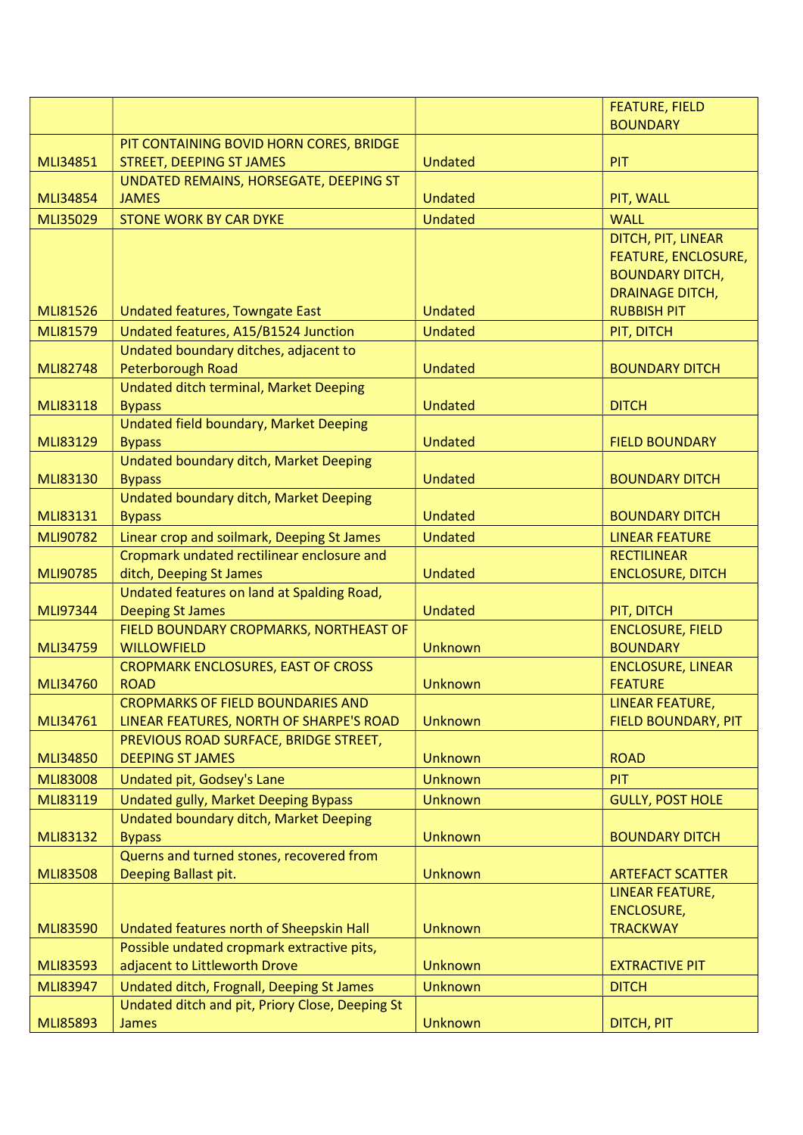|                 |                                                                                  |                | <b>FEATURE, FIELD</b>      |
|-----------------|----------------------------------------------------------------------------------|----------------|----------------------------|
|                 |                                                                                  |                | <b>BOUNDARY</b>            |
|                 | PIT CONTAINING BOVID HORN CORES, BRIDGE                                          |                |                            |
| <b>MLI34851</b> | <b>STREET, DEEPING ST JAMES</b>                                                  | <b>Undated</b> | PIT                        |
|                 | UNDATED REMAINS, HORSEGATE, DEEPING ST                                           |                |                            |
| <b>MLI34854</b> | <b>JAMES</b>                                                                     | Undated        | PIT, WALL                  |
| <b>MLI35029</b> | <b>STONE WORK BY CAR DYKE</b>                                                    | <b>Undated</b> | <b>WALL</b>                |
|                 |                                                                                  |                | DITCH, PIT, LINEAR         |
|                 |                                                                                  |                | <b>FEATURE, ENCLOSURE,</b> |
|                 |                                                                                  |                | <b>BOUNDARY DITCH,</b>     |
|                 |                                                                                  |                | <b>DRAINAGE DITCH,</b>     |
| <b>MLI81526</b> | Undated features, Towngate East                                                  | <b>Undated</b> | <b>RUBBISH PIT</b>         |
| <b>MLI81579</b> | Undated features, A15/B1524 Junction                                             | <b>Undated</b> | PIT, DITCH                 |
|                 | Undated boundary ditches, adjacent to                                            |                |                            |
| <b>MLI82748</b> | Peterborough Road                                                                | <b>Undated</b> | <b>BOUNDARY DITCH</b>      |
|                 | Undated ditch terminal, Market Deeping                                           |                |                            |
| <b>MLI83118</b> | <b>Bypass</b>                                                                    | <b>Undated</b> | <b>DITCH</b>               |
|                 | Undated field boundary, Market Deeping                                           |                |                            |
| MLI83129        | <b>Bypass</b>                                                                    | <b>Undated</b> | <b>FIELD BOUNDARY</b>      |
|                 | <b>Undated boundary ditch, Market Deeping</b>                                    |                |                            |
| MLI83130        | <b>Bypass</b>                                                                    | <b>Undated</b> | <b>BOUNDARY DITCH</b>      |
|                 | Undated boundary ditch, Market Deeping                                           |                |                            |
| MLI83131        | <b>Bypass</b>                                                                    | <b>Undated</b> | <b>BOUNDARY DITCH</b>      |
| MLI90782        | Linear crop and soilmark, Deeping St James                                       | <b>Undated</b> | <b>LINEAR FEATURE</b>      |
|                 | Cropmark undated rectilinear enclosure and                                       |                | <b>RECTILINEAR</b>         |
| MLI90785        | ditch, Deeping St James                                                          | <b>Undated</b> | <b>ENCLOSURE, DITCH</b>    |
|                 | Undated features on land at Spalding Road,                                       |                |                            |
| MLI97344        | <b>Deeping St James</b>                                                          | <b>Undated</b> | PIT, DITCH                 |
|                 | FIELD BOUNDARY CROPMARKS, NORTHEAST OF                                           |                | <b>ENCLOSURE, FIELD</b>    |
| <b>MLI34759</b> | <b>WILLOWFIELD</b>                                                               | Unknown        | <b>BOUNDARY</b>            |
|                 | <b>CROPMARK ENCLOSURES, EAST OF CROSS</b>                                        |                | <b>ENCLOSURE, LINEAR</b>   |
| MLI34760        | <b>ROAD</b>                                                                      | <b>Unknown</b> | <b>FEATURE</b>             |
|                 | CROPMARKS OF FIELD BOUNDARIES AND                                                | <b>Unknown</b> | LINEAR FEATURE,            |
| MLI34761        | LINEAR FEATURES, NORTH OF SHARPE'S ROAD<br>PREVIOUS ROAD SURFACE, BRIDGE STREET, |                | FIELD BOUNDARY, PIT        |
| <b>MLI34850</b> | <b>DEEPING ST JAMES</b>                                                          | <b>Unknown</b> | <b>ROAD</b>                |
| <b>MLI83008</b> |                                                                                  | <b>Unknown</b> | PIT                        |
|                 | Undated pit, Godsey's Lane                                                       |                |                            |
| MLI83119        | Undated gully, Market Deeping Bypass                                             | <b>Unknown</b> | <b>GULLY, POST HOLE</b>    |
|                 | Undated boundary ditch, Market Deeping                                           |                |                            |
| MLI83132        | <b>Bypass</b><br>Querns and turned stones, recovered from                        | <b>Unknown</b> | <b>BOUNDARY DITCH</b>      |
| <b>MLI83508</b> | Deeping Ballast pit.                                                             | <b>Unknown</b> | <b>ARTEFACT SCATTER</b>    |
|                 |                                                                                  |                | <b>LINEAR FEATURE,</b>     |
|                 |                                                                                  |                | <b>ENCLOSURE,</b>          |
| <b>MLI83590</b> | Undated features north of Sheepskin Hall                                         | <b>Unknown</b> | <b>TRACKWAY</b>            |
|                 | Possible undated cropmark extractive pits,                                       |                |                            |
| <b>MLI83593</b> | adjacent to Littleworth Drove                                                    | <b>Unknown</b> | <b>EXTRACTIVE PIT</b>      |
| <b>MLI83947</b> | Undated ditch, Frognall, Deeping St James                                        | <b>Unknown</b> | <b>DITCH</b>               |
|                 | Undated ditch and pit, Priory Close, Deeping St                                  |                |                            |
| <b>MLI85893</b> | James                                                                            | <b>Unknown</b> | DITCH, PIT                 |
|                 |                                                                                  |                |                            |